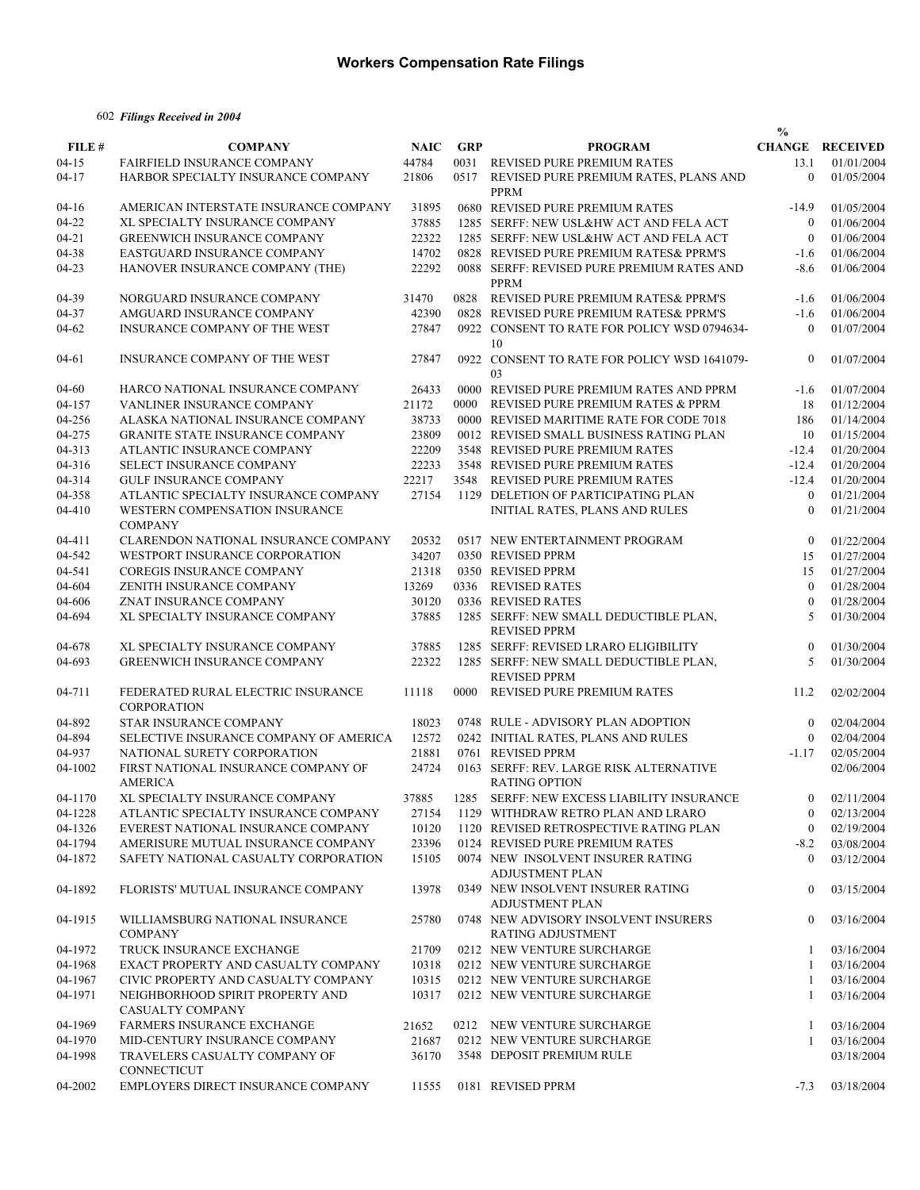### 602 *Filings Received in 2004*

|           |                                                             |             |            |                                                                 | $\frac{0}{0}$    |                        |
|-----------|-------------------------------------------------------------|-------------|------------|-----------------------------------------------------------------|------------------|------------------------|
| FILE #    | <b>COMPANY</b>                                              | <b>NAIC</b> | <b>GRP</b> | <b>PROGRAM</b>                                                  |                  | <b>CHANGE RECEIVED</b> |
| $04 - 15$ | FAIRFIELD INSURANCE COMPANY                                 | 44784       |            | 0031 REVISED PURE PREMIUM RATES                                 | 13.1             | 01/01/2004             |
| $04 - 17$ | HARBOR SPECIALTY INSURANCE COMPANY                          | 21806       |            | 0517 REVISED PURE PREMIUM RATES, PLANS AND<br>PPRM              | $\theta$         | 01/05/2004             |
| $04-16$   | AMERICAN INTERSTATE INSURANCE COMPANY                       | 31895       |            | 0680 REVISED PURE PREMIUM RATES                                 | $-14.9$          | 01/05/2004             |
| 04-22     | XL SPECIALTY INSURANCE COMPANY                              | 37885       |            | 1285 SERFF: NEW USL&HW ACT AND FELA ACT                         | $\theta$         | 01/06/2004             |
| $04 - 21$ | <b>GREENWICH INSURANCE COMPANY</b>                          | 22322       |            | 1285 SERFF: NEW USL&HW ACT AND FELA ACT                         | $\overline{0}$   | 01/06/2004             |
| 04-38     | EASTGUARD INSURANCE COMPANY                                 | 14702       |            | 0828 REVISED PURE PREMIUM RATES& PPRM'S                         | $-1.6$           | 01/06/2004             |
| $04 - 23$ | HANOVER INSURANCE COMPANY (THE)                             | 22292       |            | 0088 SERFF: REVISED PURE PREMIUM RATES AND<br><b>PPRM</b>       | $-8.6$           | 01/06/2004             |
| 04-39     | NORGUARD INSURANCE COMPANY                                  | 31470       |            | 0828 REVISED PURE PREMIUM RATES& PPRM'S                         | $-1.6$           | 01/06/2004             |
| 04-37     | AMGUARD INSURANCE COMPANY                                   | 42390       |            | 0828 REVISED PURE PREMIUM RATES& PPRM'S                         | $-1.6$           | 01/06/2004             |
| 04-62     | INSURANCE COMPANY OF THE WEST                               | 27847       |            | 0922 CONSENT TO RATE FOR POLICY WSD 0794634-<br>10              | $\theta$         | 01/07/2004             |
| $04-61$   | INSURANCE COMPANY OF THE WEST                               | 27847       |            | 0922 CONSENT TO RATE FOR POLICY WSD 1641079-<br>03              | $\theta$         | 01/07/2004             |
| 04-60     | HARCO NATIONAL INSURANCE COMPANY                            | 26433       |            | 0000 REVISED PURE PREMIUM RATES AND PPRM                        | $-1.6$           | 01/07/2004             |
| 04-157    | VANLINER INSURANCE COMPANY                                  | 21172       |            | 0000 REVISED PURE PREMIUM RATES & PPRM                          | 18               | 01/12/2004             |
| 04-256    | ALASKA NATIONAL INSURANCE COMPANY                           | 38733       |            | 0000 REVISED MARITIME RATE FOR CODE 7018                        | 186              | 01/14/2004             |
| 04-275    | <b>GRANITE STATE INSURANCE COMPANY</b>                      | 23809       |            | 0012 REVISED SMALL BUSINESS RATING PLAN                         | 10               | 01/15/2004             |
| 04-313    | ATLANTIC INSURANCE COMPANY                                  | 22209       |            | 3548 REVISED PURE PREMIUM RATES                                 | $-12.4$          | 01/20/2004             |
| 04-316    | SELECT INSURANCE COMPANY                                    | 22233       |            | 3548 REVISED PURE PREMIUM RATES                                 | $-12.4$          | 01/20/2004             |
| 04-314    | <b>GULF INSURANCE COMPANY</b>                               | 22217       |            | 3548 REVISED PURE PREMIUM RATES                                 | $-12.4$          | 01/20/2004             |
| 04-358    | ATLANTIC SPECIALTY INSURANCE COMPANY                        | 27154       |            | 1129 DELETION OF PARTICIPATING PLAN                             | $\theta$         | 01/21/2004             |
| 04-410    | WESTERN COMPENSATION INSURANCE<br><b>COMPANY</b>            |             |            | INITIAL RATES, PLANS AND RULES                                  | $\theta$         | 01/21/2004             |
| 04-411    | CLARENDON NATIONAL INSURANCE COMPANY                        | 20532       |            | 0517 NEW ENTERTAINMENT PROGRAM                                  | $\mathbf{0}$     | 01/22/2004             |
| 04-542    | WESTPORT INSURANCE CORPORATION                              | 34207       |            | 0350 REVISED PPRM                                               | 15               | 01/27/2004             |
| 04-541    | COREGIS INSURANCE COMPANY                                   | 21318       |            | 0350 REVISED PPRM                                               | 15               | 01/27/2004             |
| 04-604    | ZENITH INSURANCE COMPANY                                    | 13269       |            | 0336 REVISED RATES                                              | $\overline{0}$   | 01/28/2004             |
| 04-606    | ZNAT INSURANCE COMPANY                                      | 30120       |            | 0336 REVISED RATES                                              | $\Omega$         | 01/28/2004             |
| 04-694    | XL SPECIALTY INSURANCE COMPANY                              | 37885       |            | 1285 SERFF: NEW SMALL DEDUCTIBLE PLAN,<br><b>REVISED PPRM</b>   | 5                | 01/30/2004             |
| 04-678    | XL SPECIALTY INSURANCE COMPANY                              | 37885       |            | 1285 SERFF: REVISED LRARO ELIGIBILITY                           | $\mathbf{0}$     | 01/30/2004             |
| 04-693    | <b>GREENWICH INSURANCE COMPANY</b>                          | 22322       |            | 1285 SERFF: NEW SMALL DEDUCTIBLE PLAN,<br><b>REVISED PPRM</b>   | 5                | 01/30/2004             |
| 04-711    | FEDERATED RURAL ELECTRIC INSURANCE<br><b>CORPORATION</b>    | 11118       | 0000       | REVISED PURE PREMIUM RATES                                      | 11.2             | 02/02/2004             |
| 04-892    | STAR INSURANCE COMPANY                                      | 18023       |            | 0748 RULE - ADVISORY PLAN ADOPTION                              | $\overline{0}$   | 02/04/2004             |
| 04-894    | SELECTIVE INSURANCE COMPANY OF AMERICA                      | 12572       |            | 0242 INITIAL RATES, PLANS AND RULES                             | $\theta$         | 02/04/2004             |
| 04-937    | NATIONAL SURETY CORPORATION                                 | 21881       |            | 0761 REVISED PPRM                                               | $-1.17$          | 02/05/2004             |
| 04-1002   | FIRST NATIONAL INSURANCE COMPANY OF<br><b>AMERICA</b>       | 24724       |            | 0163 SERFF: REV. LARGE RISK ALTERNATIVE<br><b>RATING OPTION</b> |                  | 02/06/2004             |
| 04-1170   | XL SPECIALTY INSURANCE COMPANY                              | 37885       | 1285       | SERFF: NEW EXCESS LIABILITY INSURANCE                           | $\bf{0}$         | 02/11/2004             |
| 04-1228   | ATLANTIC SPECIALTY INSURANCE COMPANY                        | 27154       |            | 1129 WITHDRAW RETRO PLAN AND LRARO                              | $\mathbf{0}$     | 02/13/2004             |
| 04-1326   | EVEREST NATIONAL INSURANCE COMPANY                          | 10120       |            | 1120 REVISED RETROSPECTIVE RATING PLAN                          | $\mathbf{0}$     | 02/19/2004             |
| 04-1794   | AMERISURE MUTUAL INSURANCE COMPANY                          | 23396       |            | 0124 REVISED PURE PREMIUM RATES                                 | $-8.2$           | 03/08/2004             |
| 04-1872   | SAFETY NATIONAL CASUALTY CORPORATION                        | 15105       |            | 0074 NEW INSOLVENT INSURER RATING<br><b>ADJUSTMENT PLAN</b>     | $\overline{0}$   | 03/12/2004             |
| 04-1892   | FLORISTS' MUTUAL INSURANCE COMPANY                          | 13978       |            | 0349 NEW INSOLVENT INSURER RATING<br><b>ADJUSTMENT PLAN</b>     | $\mathbf{0}$     | 03/15/2004             |
| 04-1915   | WILLIAMSBURG NATIONAL INSURANCE<br><b>COMPANY</b>           | 25780       |            | 0748 NEW ADVISORY INSOLVENT INSURERS<br>RATING ADJUSTMENT       | $\boldsymbol{0}$ | 03/16/2004             |
| 04-1972   | TRUCK INSURANCE EXCHANGE                                    | 21709       |            | 0212 NEW VENTURE SURCHARGE                                      | 1                | 03/16/2004             |
| 04-1968   | EXACT PROPERTY AND CASUALTY COMPANY                         | 10318       |            | 0212 NEW VENTURE SURCHARGE                                      | 1                | 03/16/2004             |
| 04-1967   | CIVIC PROPERTY AND CASUALTY COMPANY                         | 10315       |            | 0212 NEW VENTURE SURCHARGE                                      | 1                | 03/16/2004             |
| 04-1971   | NEIGHBORHOOD SPIRIT PROPERTY AND<br><b>CASUALTY COMPANY</b> | 10317       |            | 0212 NEW VENTURE SURCHARGE                                      | 1                | 03/16/2004             |
| 04-1969   | <b>FARMERS INSURANCE EXCHANGE</b>                           | 21652       |            | 0212 NEW VENTURE SURCHARGE                                      | -1               | 03/16/2004             |
| 04-1970   | MID-CENTURY INSURANCE COMPANY                               | 21687       |            | 0212 NEW VENTURE SURCHARGE                                      | 1                | 03/16/2004             |
| 04-1998   | TRAVELERS CASUALTY COMPANY OF<br>CONNECTICUT                | 36170       |            | 3548 DEPOSIT PREMIUM RULE                                       |                  | 03/18/2004             |
| 04-2002   | EMPLOYERS DIRECT INSURANCE COMPANY                          | 11555       |            | 0181 REVISED PPRM                                               | $-7.3$           | 03/18/2004             |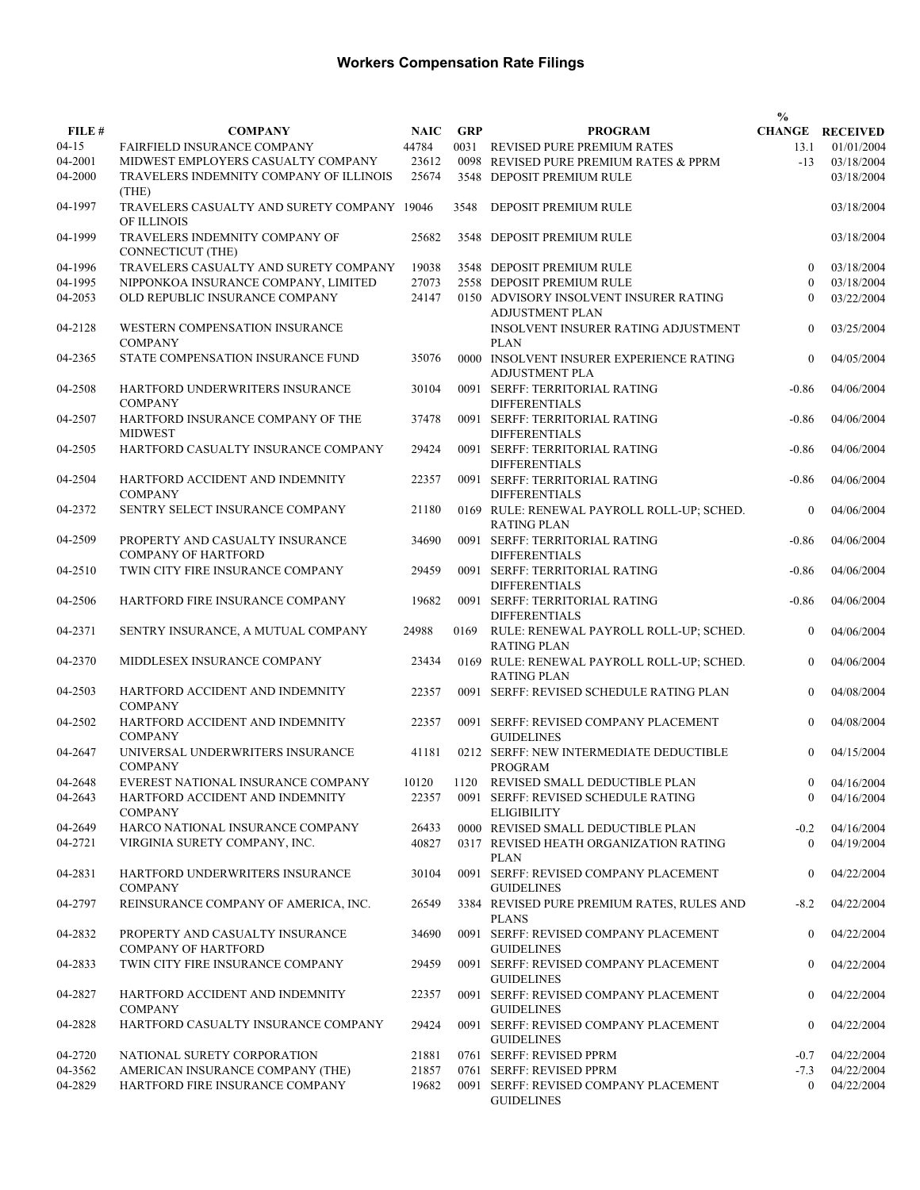|                     |                                                                       |                      |            |                                                                              | $\frac{0}{0}$                |                                      |
|---------------------|-----------------------------------------------------------------------|----------------------|------------|------------------------------------------------------------------------------|------------------------------|--------------------------------------|
| FILE #<br>$04 - 15$ | <b>COMPANY</b><br>FAIRFIELD INSURANCE COMPANY                         | <b>NAIC</b><br>44784 | <b>GRP</b> | <b>PROGRAM</b><br>0031 REVISED PURE PREMIUM RATES                            | 13.1                         | <b>CHANGE RECEIVED</b><br>01/01/2004 |
| 04-2001             | MIDWEST EMPLOYERS CASUALTY COMPANY                                    | 23612                |            | 0098 REVISED PURE PREMIUM RATES & PPRM                                       | $-13$                        |                                      |
| 04-2000             | TRAVELERS INDEMNITY COMPANY OF ILLINOIS<br>(THE)                      | 25674                |            | 3548 DEPOSIT PREMIUM RULE                                                    |                              | 03/18/2004<br>03/18/2004             |
| 04-1997             | TRAVELERS CASUALTY AND SURETY COMPANY 19046<br>OF ILLINOIS            |                      | 3548       | DEPOSIT PREMIUM RULE                                                         |                              | 03/18/2004                           |
| 04-1999             | TRAVELERS INDEMNITY COMPANY OF<br><b>CONNECTICUT (THE)</b>            | 25682                |            | 3548 DEPOSIT PREMIUM RULE                                                    |                              | 03/18/2004                           |
| 04-1996             | TRAVELERS CASUALTY AND SURETY COMPANY                                 | 19038                |            | 3548 DEPOSIT PREMIUM RULE                                                    | $\theta$                     | 03/18/2004                           |
| 04-1995             | NIPPONKOA INSURANCE COMPANY, LIMITED                                  | 27073                |            | 2558 DEPOSIT PREMIUM RULE                                                    | $\theta$                     | 03/18/2004                           |
| 04-2053             | OLD REPUBLIC INSURANCE COMPANY                                        | 24147                |            | 0150 ADVISORY INSOLVENT INSURER RATING<br>ADJUSTMENT PLAN                    | $\Omega$                     | 03/22/2004                           |
| 04-2128             | WESTERN COMPENSATION INSURANCE<br><b>COMPANY</b>                      |                      |            | INSOLVENT INSURER RATING ADJUSTMENT<br><b>PLAN</b>                           | $\mathbf{0}$                 | 03/25/2004                           |
| 04-2365             | STATE COMPENSATION INSURANCE FUND                                     | 35076                |            | 0000 INSOLVENT INSURER EXPERIENCE RATING<br><b>ADJUSTMENT PLA</b>            | $\theta$                     | 04/05/2004                           |
| 04-2508             | HARTFORD UNDERWRITERS INSURANCE<br><b>COMPANY</b>                     | 30104                |            | 0091 SERFF: TERRITORIAL RATING<br><b>DIFFERENTIALS</b>                       | $-0.86$                      | 04/06/2004                           |
| 04-2507             | HARTFORD INSURANCE COMPANY OF THE<br><b>MIDWEST</b>                   | 37478                |            | 0091 SERFF: TERRITORIAL RATING<br><b>DIFFERENTIALS</b>                       | $-0.86$                      | 04/06/2004                           |
| 04-2505             | HARTFORD CASUALTY INSURANCE COMPANY                                   | 29424                |            | 0091 SERFF: TERRITORIAL RATING<br><b>DIFFERENTIALS</b>                       | $-0.86$                      | 04/06/2004                           |
| 04-2504             | HARTFORD ACCIDENT AND INDEMNITY<br><b>COMPANY</b>                     | 22357                |            | 0091 SERFF: TERRITORIAL RATING<br><b>DIFFERENTIALS</b>                       | $-0.86$                      | 04/06/2004                           |
| 04-2372             | SENTRY SELECT INSURANCE COMPANY                                       | 21180                |            | 0169 RULE: RENEWAL PAYROLL ROLL-UP; SCHED.<br><b>RATING PLAN</b>             | $\theta$                     | 04/06/2004                           |
| 04-2509             | PROPERTY AND CASUALTY INSURANCE<br><b>COMPANY OF HARTFORD</b>         | 34690                |            | 0091 SERFF: TERRITORIAL RATING<br><b>DIFFERENTIALS</b>                       | $-0.86$                      | 04/06/2004                           |
| 04-2510             | TWIN CITY FIRE INSURANCE COMPANY                                      | 29459                |            | 0091 SERFF: TERRITORIAL RATING<br><b>DIFFERENTIALS</b>                       | $-0.86$                      | 04/06/2004                           |
| 04-2506             | HARTFORD FIRE INSURANCE COMPANY                                       | 19682                |            | 0091 SERFF: TERRITORIAL RATING<br><b>DIFFERENTIALS</b>                       | $-0.86$                      | 04/06/2004                           |
| 04-2371             | SENTRY INSURANCE, A MUTUAL COMPANY                                    | 24988                | 0169       | RULE: RENEWAL PAYROLL ROLL-UP; SCHED.<br><b>RATING PLAN</b>                  | $\mathbf{0}$                 | 04/06/2004                           |
| 04-2370             | MIDDLESEX INSURANCE COMPANY                                           | 23434                |            | 0169 RULE: RENEWAL PAYROLL ROLL-UP; SCHED.<br><b>RATING PLAN</b>             | $\mathbf{0}$                 | 04/06/2004                           |
| 04-2503             | HARTFORD ACCIDENT AND INDEMNITY<br><b>COMPANY</b>                     | 22357                |            | 0091 SERFF: REVISED SCHEDULE RATING PLAN                                     | $\theta$                     | 04/08/2004                           |
| 04-2502             | HARTFORD ACCIDENT AND INDEMNITY<br><b>COMPANY</b>                     | 22357                |            | 0091 SERFF: REVISED COMPANY PLACEMENT<br><b>GUIDELINES</b>                   | $\Omega$                     | 04/08/2004                           |
| 04-2647             | UNIVERSAL UNDERWRITERS INSURANCE<br><b>COMPANY</b>                    | 41181                |            | 0212 SERFF: NEW INTERMEDIATE DEDUCTIBLE<br><b>PROGRAM</b>                    | $\theta$                     | 04/15/2004                           |
| 04-2648<br>04-2643  | EVEREST NATIONAL INSURANCE COMPANY<br>HARTFORD ACCIDENT AND INDEMNITY | 10120<br>22357       |            | 1120 REVISED SMALL DEDUCTIBLE PLAN<br>0091 SERFF: REVISED SCHEDULE RATING    | $\mathbf{0}$<br>$\mathbf{0}$ | 04/16/2004<br>04/16/2004             |
|                     | <b>COMPANY</b>                                                        |                      |            | <b>ELIGIBILITY</b>                                                           |                              |                                      |
| 04-2649<br>04-2721  | HARCO NATIONAL INSURANCE COMPANY<br>VIRGINIA SURETY COMPANY, INC.     | 26433<br>40827       |            | 0000 REVISED SMALL DEDUCTIBLE PLAN<br>0317 REVISED HEATH ORGANIZATION RATING | $-0.2$<br>$\theta$           | 04/16/2004<br>04/19/2004             |
| 04-2831             | HARTFORD UNDERWRITERS INSURANCE                                       | 30104                |            | <b>PLAN</b><br>0091 SERFF: REVISED COMPANY PLACEMENT                         | $\mathbf{0}$                 | 04/22/2004                           |
| 04-2797             | <b>COMPANY</b><br>REINSURANCE COMPANY OF AMERICA, INC.                | 26549                |            | <b>GUIDELINES</b><br>3384 REVISED PURE PREMIUM RATES, RULES AND              | $-8.2$                       | 04/22/2004                           |
| 04-2832             | PROPERTY AND CASUALTY INSURANCE                                       | 34690                |            | <b>PLANS</b><br>0091 SERFF: REVISED COMPANY PLACEMENT                        | $\overline{0}$               | 04/22/2004                           |
| 04-2833             | <b>COMPANY OF HARTFORD</b><br>TWIN CITY FIRE INSURANCE COMPANY        | 29459                |            | <b>GUIDELINES</b><br>0091 SERFF: REVISED COMPANY PLACEMENT                   | $\mathbf{0}$                 | 04/22/2004                           |
| 04-2827             | HARTFORD ACCIDENT AND INDEMNITY                                       | 22357                |            | <b>GUIDELINES</b><br>0091 SERFF: REVISED COMPANY PLACEMENT                   | $\overline{0}$               | 04/22/2004                           |
| 04-2828             | <b>COMPANY</b><br>HARTFORD CASUALTY INSURANCE COMPANY                 | 29424                |            | <b>GUIDELINES</b><br>0091 SERFF: REVISED COMPANY PLACEMENT                   | $\Omega$                     | 04/22/2004                           |
|                     |                                                                       |                      |            | <b>GUIDELINES</b>                                                            |                              |                                      |
| 04-2720<br>04-3562  | NATIONAL SURETY CORPORATION<br>AMERICAN INSURANCE COMPANY (THE)       | 21881<br>21857       |            | 0761 SERFF: REVISED PPRM<br>0761 SERFF: REVISED PPRM                         | $-0.7$                       | 04/22/2004                           |
| 04-2829             | HARTFORD FIRE INSURANCE COMPANY                                       | 19682                |            | 0091 SERFF: REVISED COMPANY PLACEMENT                                        | $-7.3$<br>$\overline{0}$     | 04/22/2004<br>04/22/2004             |
|                     |                                                                       |                      |            | <b>GUIDELINES</b>                                                            |                              |                                      |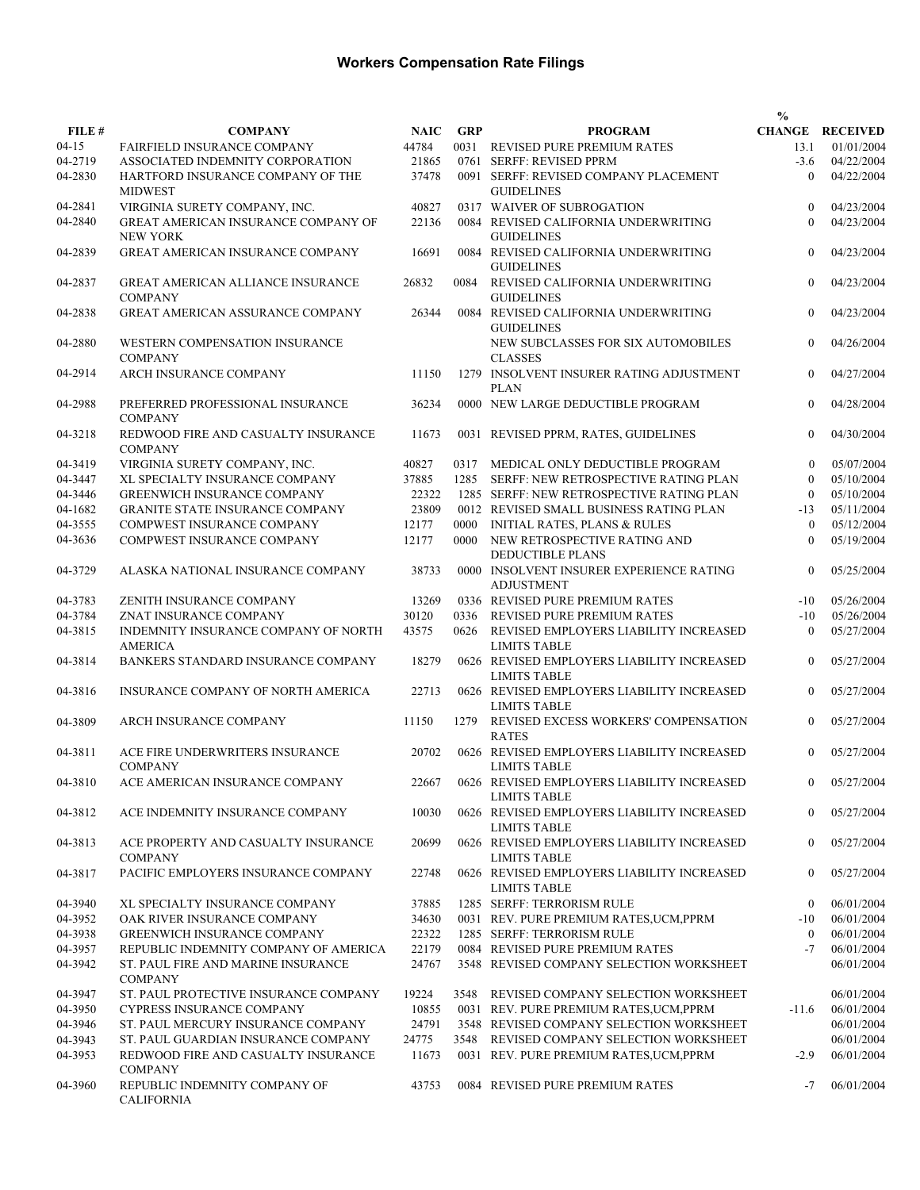|           |                                                            |             |            |                                                                   | $\frac{0}{0}$  |                        |
|-----------|------------------------------------------------------------|-------------|------------|-------------------------------------------------------------------|----------------|------------------------|
| FILE #    | <b>COMPANY</b>                                             | <b>NAIC</b> | <b>GRP</b> | <b>PROGRAM</b>                                                    |                | <b>CHANGE RECEIVED</b> |
| $04 - 15$ | <b>FAIRFIELD INSURANCE COMPANY</b>                         | 44784       |            | 0031 REVISED PURE PREMIUM RATES                                   | 13.1           | 01/01/2004             |
| 04-2719   | ASSOCIATED INDEMNITY CORPORATION                           | 21865       |            | 0761 SERFF: REVISED PPRM                                          | $-3.6$         | 04/22/2004             |
| 04-2830   | HARTFORD INSURANCE COMPANY OF THE<br><b>MIDWEST</b>        | 37478       |            | 0091 SERFF: REVISED COMPANY PLACEMENT<br><b>GUIDELINES</b>        | $\theta$       | 04/22/2004             |
| 04-2841   | VIRGINIA SURETY COMPANY, INC.                              | 40827       |            | 0317 WAIVER OF SUBROGATION                                        | $\theta$       | 04/23/2004             |
| 04-2840   | GREAT AMERICAN INSURANCE COMPANY OF<br><b>NEW YORK</b>     | 22136       |            | 0084 REVISED CALIFORNIA UNDERWRITING<br><b>GUIDELINES</b>         | $\theta$       | 04/23/2004             |
| 04-2839   | GREAT AMERICAN INSURANCE COMPANY                           | 16691       |            | 0084 REVISED CALIFORNIA UNDERWRITING<br><b>GUIDELINES</b>         | $\mathbf{0}$   | 04/23/2004             |
| 04-2837   | <b>GREAT AMERICAN ALLIANCE INSURANCE</b><br><b>COMPANY</b> | 26832       | 0084       | REVISED CALIFORNIA UNDERWRITING<br><b>GUIDELINES</b>              | $\mathbf{0}$   | 04/23/2004             |
| 04-2838   | <b>GREAT AMERICAN ASSURANCE COMPANY</b>                    | 26344       |            | 0084 REVISED CALIFORNIA UNDERWRITING<br><b>GUIDELINES</b>         | $\mathbf{0}$   | 04/23/2004             |
| 04-2880   | WESTERN COMPENSATION INSURANCE<br><b>COMPANY</b>           |             |            | NEW SUBCLASSES FOR SIX AUTOMOBILES<br><b>CLASSES</b>              | $\mathbf{0}$   | 04/26/2004             |
| 04-2914   | ARCH INSURANCE COMPANY                                     | 11150       |            | 1279 INSOLVENT INSURER RATING ADJUSTMENT<br><b>PLAN</b>           | $\mathbf{0}$   | 04/27/2004             |
| 04-2988   | PREFERRED PROFESSIONAL INSURANCE<br><b>COMPANY</b>         | 36234       |            | 0000 NEW LARGE DEDUCTIBLE PROGRAM                                 | $\mathbf{0}$   | 04/28/2004             |
| 04-3218   | REDWOOD FIRE AND CASUALTY INSURANCE<br><b>COMPANY</b>      | 11673       |            | 0031 REVISED PPRM, RATES, GUIDELINES                              | $\mathbf{0}$   | 04/30/2004             |
| 04-3419   | VIRGINIA SURETY COMPANY, INC.                              | 40827       | 0317       | MEDICAL ONLY DEDUCTIBLE PROGRAM                                   | $\theta$       | 05/07/2004             |
| 04-3447   | XL SPECIALTY INSURANCE COMPANY                             | 37885       | 1285       | SERFF: NEW RETROSPECTIVE RATING PLAN                              | $\theta$       | 05/10/2004             |
| 04-3446   | <b>GREENWICH INSURANCE COMPANY</b>                         | 22322       |            | 1285 SERFF: NEW RETROSPECTIVE RATING PLAN                         | $\theta$       | 05/10/2004             |
| 04-1682   | <b>GRANITE STATE INSURANCE COMPANY</b>                     | 23809       |            | 0012 REVISED SMALL BUSINESS RATING PLAN                           | $-13$          | 05/11/2004             |
| 04-3555   | COMPWEST INSURANCE COMPANY                                 | 12177       | 0000       | <b>INITIAL RATES, PLANS &amp; RULES</b>                           | $\theta$       | 05/12/2004             |
| 04-3636   | COMPWEST INSURANCE COMPANY                                 | 12177       | 0000       | NEW RETROSPECTIVE RATING AND<br><b>DEDUCTIBLE PLANS</b>           | $\theta$       | 05/19/2004             |
| 04-3729   | ALASKA NATIONAL INSURANCE COMPANY                          | 38733       |            | 0000 INSOLVENT INSURER EXPERIENCE RATING<br><b>ADJUSTMENT</b>     | $\theta$       | 05/25/2004             |
| 04-3783   | ZENITH INSURANCE COMPANY                                   | 13269       |            | 0336 REVISED PURE PREMIUM RATES                                   | $-10$          | 05/26/2004             |
| 04-3784   | ZNAT INSURANCE COMPANY                                     | 30120       | 0336       | REVISED PURE PREMIUM RATES                                        | $-10$          | 05/26/2004             |
| 04-3815   | INDEMNITY INSURANCE COMPANY OF NORTH<br><b>AMERICA</b>     | 43575       | 0626       | REVISED EMPLOYERS LIABILITY INCREASED<br><b>LIMITS TABLE</b>      | $\overline{0}$ | 05/27/2004             |
| 04-3814   | BANKERS STANDARD INSURANCE COMPANY                         | 18279       |            | 0626 REVISED EMPLOYERS LIABILITY INCREASED<br><b>LIMITS TABLE</b> | $\mathbf{0}$   | 05/27/2004             |
| 04-3816   | INSURANCE COMPANY OF NORTH AMERICA                         | 22713       |            | 0626 REVISED EMPLOYERS LIABILITY INCREASED<br><b>LIMITS TABLE</b> | $\mathbf{0}$   | 05/27/2004             |
| 04-3809   | <b>ARCH INSURANCE COMPANY</b>                              | 11150       | 1279       | REVISED EXCESS WORKERS' COMPENSATION<br><b>RATES</b>              | $\mathbf{0}$   | 05/27/2004             |
| 04-3811   | ACE FIRE UNDERWRITERS INSURANCE<br><b>COMPANY</b>          | 20702       |            | 0626 REVISED EMPLOYERS LIABILITY INCREASED<br><b>LIMITS TABLE</b> | $\Omega$       | 05/27/2004             |
| 04-3810   | ACE AMERICAN INSURANCE COMPANY                             | 22667       |            | 0626 REVISED EMPLOYERS LIABILITY INCREASED<br><b>LIMITS TABLE</b> | $\overline{0}$ | 05/27/2004             |
| 04-3812   | ACE INDEMNITY INSURANCE COMPANY                            | 10030       |            | 0626 REVISED EMPLOYERS LIABILITY INCREASED<br><b>LIMITS TABLE</b> | $\theta$       | 05/27/2004             |
| 04-3813   | ACE PROPERTY AND CASUALTY INSURANCE<br><b>COMPANY</b>      | 20699       |            | 0626 REVISED EMPLOYERS LIABILITY INCREASED<br><b>LIMITS TABLE</b> | $\overline{0}$ | 05/27/2004             |
| 04-3817   | PACIFIC EMPLOYERS INSURANCE COMPANY                        | 22748       |            | 0626 REVISED EMPLOYERS LIABILITY INCREASED<br><b>LIMITS TABLE</b> | $\mathbf{0}$   | 05/27/2004             |
| 04-3940   | XL SPECIALTY INSURANCE COMPANY                             | 37885       |            | 1285 SERFF: TERRORISM RULE                                        | $\mathbf{0}$   | 06/01/2004             |
| 04-3952   | OAK RIVER INSURANCE COMPANY                                | 34630       |            | 0031 REV. PURE PREMIUM RATES, UCM, PPRM                           | $-10$          | 06/01/2004             |
| 04-3938   | <b>GREENWICH INSURANCE COMPANY</b>                         | 22322       |            | 1285 SERFF: TERRORISM RULE                                        | $\overline{0}$ | 06/01/2004             |
| 04-3957   | REPUBLIC INDEMNITY COMPANY OF AMERICA                      | 22179       |            | 0084 REVISED PURE PREMIUM RATES                                   | $-7$           | 06/01/2004             |
| 04-3942   | ST. PAUL FIRE AND MARINE INSURANCE<br><b>COMPANY</b>       | 24767       |            | 3548 REVISED COMPANY SELECTION WORKSHEET                          |                | 06/01/2004             |
| 04-3947   | ST. PAUL PROTECTIVE INSURANCE COMPANY                      | 19224       |            | 3548 REVISED COMPANY SELECTION WORKSHEET                          |                | 06/01/2004             |
| 04-3950   | <b>CYPRESS INSURANCE COMPANY</b>                           | 10855       |            | 0031 REV. PURE PREMIUM RATES, UCM, PPRM                           | $-11.6$        | 06/01/2004             |
| 04-3946   | ST. PAUL MERCURY INSURANCE COMPANY                         | 24791       |            | 3548 REVISED COMPANY SELECTION WORKSHEET                          |                | 06/01/2004             |
| 04-3943   | ST. PAUL GUARDIAN INSURANCE COMPANY                        | 24775       |            | 3548 REVISED COMPANY SELECTION WORKSHEET                          |                | 06/01/2004             |
| 04-3953   | REDWOOD FIRE AND CASUALTY INSURANCE<br><b>COMPANY</b>      | 11673       |            | 0031 REV. PURE PREMIUM RATES, UCM, PPRM                           | $-2.9$         | 06/01/2004             |
| 04-3960   | REPUBLIC INDEMNITY COMPANY OF<br><b>CALIFORNIA</b>         | 43753       |            | 0084 REVISED PURE PREMIUM RATES                                   | $-7$           | 06/01/2004             |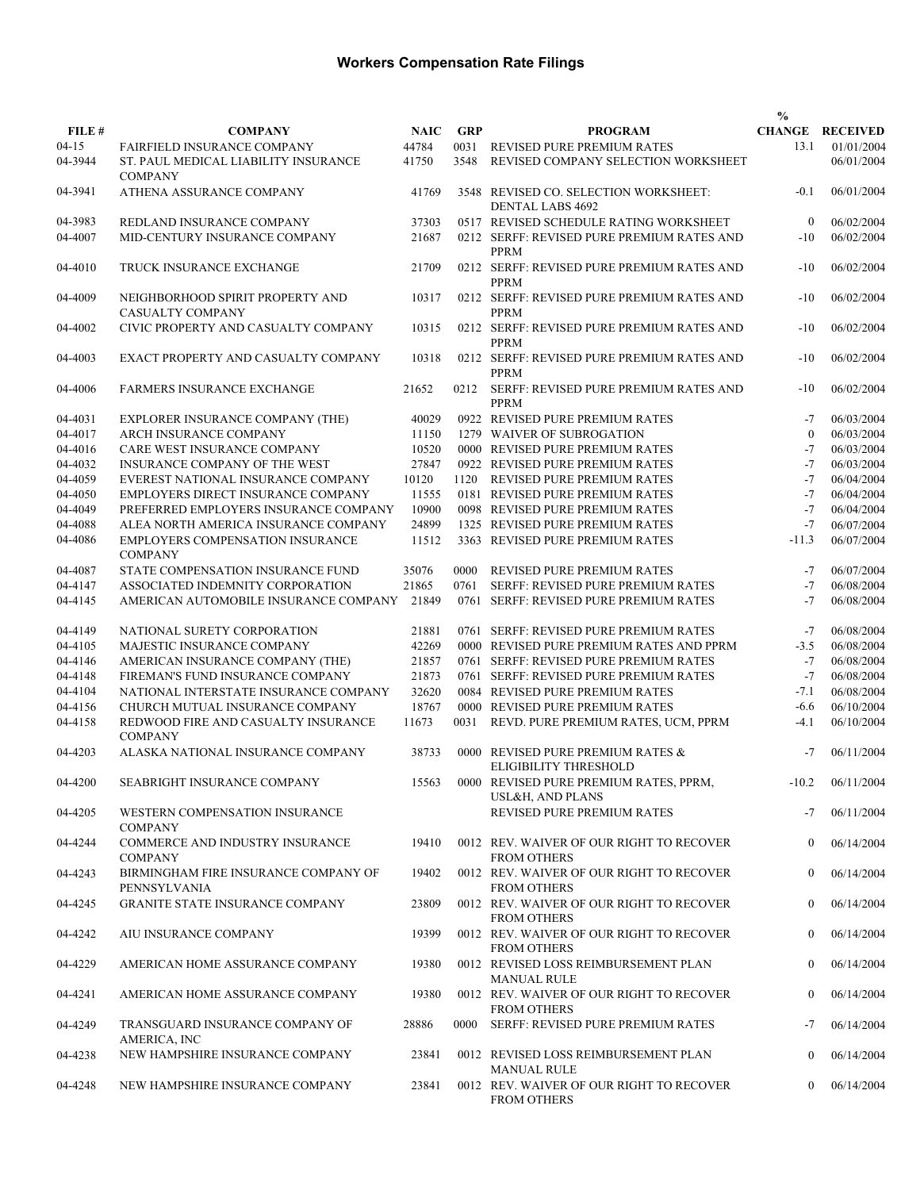|         |                                                             |             |            |                                                                | $\frac{0}{0}$    |                        |
|---------|-------------------------------------------------------------|-------------|------------|----------------------------------------------------------------|------------------|------------------------|
| FILE #  | <b>COMPANY</b>                                              | <b>NAIC</b> | <b>GRP</b> | <b>PROGRAM</b>                                                 |                  | <b>CHANGE RECEIVED</b> |
| $04-15$ | <b>FAIRFIELD INSURANCE COMPANY</b>                          | 44784       | 0031       | REVISED PURE PREMIUM RATES                                     | 13.1             | 01/01/2004             |
| 04-3944 | ST. PAUL MEDICAL LIABILITY INSURANCE<br><b>COMPANY</b>      | 41750       | 3548       | REVISED COMPANY SELECTION WORKSHEET                            |                  | 06/01/2004             |
| 04-3941 | ATHENA ASSURANCE COMPANY                                    | 41769       |            | 3548 REVISED CO. SELECTION WORKSHEET:<br>DENTAL LABS 4692      | $-0.1$           | 06/01/2004             |
| 04-3983 | REDLAND INSURANCE COMPANY                                   | 37303       |            | 0517 REVISED SCHEDULE RATING WORKSHEET                         | $\mathbf{0}$     | 06/02/2004             |
| 04-4007 | MID-CENTURY INSURANCE COMPANY                               | 21687       |            | 0212 SERFF: REVISED PURE PREMIUM RATES AND<br><b>PPRM</b>      | $-10$            | 06/02/2004             |
| 04-4010 | TRUCK INSURANCE EXCHANGE                                    | 21709       |            | 0212 SERFF: REVISED PURE PREMIUM RATES AND<br><b>PPRM</b>      | $-10$            | 06/02/2004             |
| 04-4009 | NEIGHBORHOOD SPIRIT PROPERTY AND<br><b>CASUALTY COMPANY</b> | 10317       |            | 0212 SERFF: REVISED PURE PREMIUM RATES AND<br><b>PPRM</b>      | $-10$            | 06/02/2004             |
| 04-4002 | CIVIC PROPERTY AND CASUALTY COMPANY                         | 10315       |            | 0212 SERFF: REVISED PURE PREMIUM RATES AND<br><b>PPRM</b>      | $-10$            | 06/02/2004             |
| 04-4003 | EXACT PROPERTY AND CASUALTY COMPANY                         | 10318       |            | 0212 SERFF: REVISED PURE PREMIUM RATES AND<br><b>PPRM</b>      | $-10$            | 06/02/2004             |
| 04-4006 | <b>FARMERS INSURANCE EXCHANGE</b>                           | 21652       | 0212       | SERFF: REVISED PURE PREMIUM RATES AND<br><b>PPRM</b>           | $-10$            | 06/02/2004             |
| 04-4031 | EXPLORER INSURANCE COMPANY (THE)                            | 40029       |            | 0922 REVISED PURE PREMIUM RATES                                | $-7$             | 06/03/2004             |
| 04-4017 | ARCH INSURANCE COMPANY                                      | 11150       |            | 1279 WAIVER OF SUBROGATION                                     | $\theta$         | 06/03/2004             |
| 04-4016 | CARE WEST INSURANCE COMPANY                                 | 10520       |            | 0000 REVISED PURE PREMIUM RATES                                | $-7$             | 06/03/2004             |
| 04-4032 | INSURANCE COMPANY OF THE WEST                               | 27847       |            | 0922 REVISED PURE PREMIUM RATES                                | $-7$             | 06/03/2004             |
| 04-4059 | EVEREST NATIONAL INSURANCE COMPANY                          | 10120       | 1120       | REVISED PURE PREMIUM RATES                                     | $-7$             | 06/04/2004             |
| 04-4050 | EMPLOYERS DIRECT INSURANCE COMPANY                          | 11555       |            | 0181 REVISED PURE PREMIUM RATES                                | $-7$             | 06/04/2004             |
| 04-4049 | PREFERRED EMPLOYERS INSURANCE COMPANY                       | 10900       |            | 0098 REVISED PURE PREMIUM RATES                                | $-7$             | 06/04/2004             |
| 04-4088 | ALEA NORTH AMERICA INSURANCE COMPANY                        | 24899       |            | 1325 REVISED PURE PREMIUM RATES                                | $-7$             | 06/07/2004             |
| 04-4086 | EMPLOYERS COMPENSATION INSURANCE<br><b>COMPANY</b>          | 11512       |            | 3363 REVISED PURE PREMIUM RATES                                | $-11.3$          | 06/07/2004             |
| 04-4087 | STATE COMPENSATION INSURANCE FUND                           | 35076       | 0000       | <b>REVISED PURE PREMIUM RATES</b>                              | $-7$             | 06/07/2004             |
| 04-4147 | ASSOCIATED INDEMNITY CORPORATION                            | 21865       | 0761       | SERFF: REVISED PURE PREMIUM RATES                              | $-7$             | 06/08/2004             |
| 04-4145 | AMERICAN AUTOMOBILE INSURANCE COMPANY                       | 21849       |            | 0761 SERFF: REVISED PURE PREMIUM RATES                         | $-7$             | 06/08/2004             |
| 04-4149 | NATIONAL SURETY CORPORATION                                 | 21881       |            | 0761 SERFF: REVISED PURE PREMIUM RATES                         | $-7$             | 06/08/2004             |
| 04-4105 | MAJESTIC INSURANCE COMPANY                                  | 42269       |            | 0000 REVISED PURE PREMIUM RATES AND PPRM                       | $-3.5$           | 06/08/2004             |
| 04-4146 | AMERICAN INSURANCE COMPANY (THE)                            | 21857       |            | 0761 SERFF: REVISED PURE PREMIUM RATES                         | $-7$             | 06/08/2004             |
| 04-4148 | FIREMAN'S FUND INSURANCE COMPANY                            | 21873       |            | 0761 SERFF: REVISED PURE PREMIUM RATES                         | $-7$             | 06/08/2004             |
| 04-4104 | NATIONAL INTERSTATE INSURANCE COMPANY                       | 32620       |            | 0084 REVISED PURE PREMIUM RATES                                | $-7.1$           | 06/08/2004             |
| 04-4156 | CHURCH MUTUAL INSURANCE COMPANY                             | 18767       |            | 0000 REVISED PURE PREMIUM RATES                                | $-6.6$           | 06/10/2004             |
| 04-4158 | REDWOOD FIRE AND CASUALTY INSURANCE<br><b>COMPANY</b>       | 11673       | 0031       | REVD. PURE PREMIUM RATES, UCM, PPRM                            | $-4.1$           | 06/10/2004             |
| 04-4203 | ALASKA NATIONAL INSURANCE COMPANY                           | 38733       |            | 0000 REVISED PURE PREMIUM RATES &<br>ELIGIBILITY THRESHOLD     | $-7$             | 06/11/2004             |
| 04-4200 | SEABRIGHT INSURANCE COMPANY                                 | 15563       |            | 0000 REVISED PURE PREMIUM RATES, PPRM,<br>USL&H, AND PLANS     | $-10.2$          | 06/11/2004             |
| 04-4205 | WESTERN COMPENSATION INSURANCE<br><b>COMPANY</b>            |             |            | REVISED PURE PREMIUM RATES                                     | $-7$             | 06/11/2004             |
| 04-4244 | COMMERCE AND INDUSTRY INSURANCE<br><b>COMPANY</b>           | 19410       |            | 0012 REV. WAIVER OF OUR RIGHT TO RECOVER<br><b>FROM OTHERS</b> | $\mathbf{0}$     | 06/14/2004             |
| 04-4243 | BIRMINGHAM FIRE INSURANCE COMPANY OF<br>PENNSYLVANIA        | 19402       |            | 0012 REV. WAIVER OF OUR RIGHT TO RECOVER<br><b>FROM OTHERS</b> | $\mathbf{0}$     | 06/14/2004             |
| 04-4245 | GRANITE STATE INSURANCE COMPANY                             | 23809       |            | 0012 REV. WAIVER OF OUR RIGHT TO RECOVER<br><b>FROM OTHERS</b> | $\overline{0}$   | 06/14/2004             |
| 04-4242 | AIU INSURANCE COMPANY                                       | 19399       |            | 0012 REV. WAIVER OF OUR RIGHT TO RECOVER<br><b>FROM OTHERS</b> | $\mathbf{0}$     | 06/14/2004             |
| 04-4229 | AMERICAN HOME ASSURANCE COMPANY                             | 19380       |            | 0012 REVISED LOSS REIMBURSEMENT PLAN<br><b>MANUAL RULE</b>     | $\mathbf{0}$     | 06/14/2004             |
| 04-4241 | AMERICAN HOME ASSURANCE COMPANY                             | 19380       |            | 0012 REV. WAIVER OF OUR RIGHT TO RECOVER<br><b>FROM OTHERS</b> | $\boldsymbol{0}$ | 06/14/2004             |
| 04-4249 | TRANSGUARD INSURANCE COMPANY OF<br>AMERICA, INC             | 28886       | 0000       | SERFF: REVISED PURE PREMIUM RATES                              | $-7$             | 06/14/2004             |
| 04-4238 | NEW HAMPSHIRE INSURANCE COMPANY                             | 23841       |            | 0012 REVISED LOSS REIMBURSEMENT PLAN<br><b>MANUAL RULE</b>     | $\Omega$         | 06/14/2004             |
| 04-4248 | NEW HAMPSHIRE INSURANCE COMPANY                             | 23841       |            | 0012 REV. WAIVER OF OUR RIGHT TO RECOVER<br><b>FROM OTHERS</b> | $\theta$         | 06/14/2004             |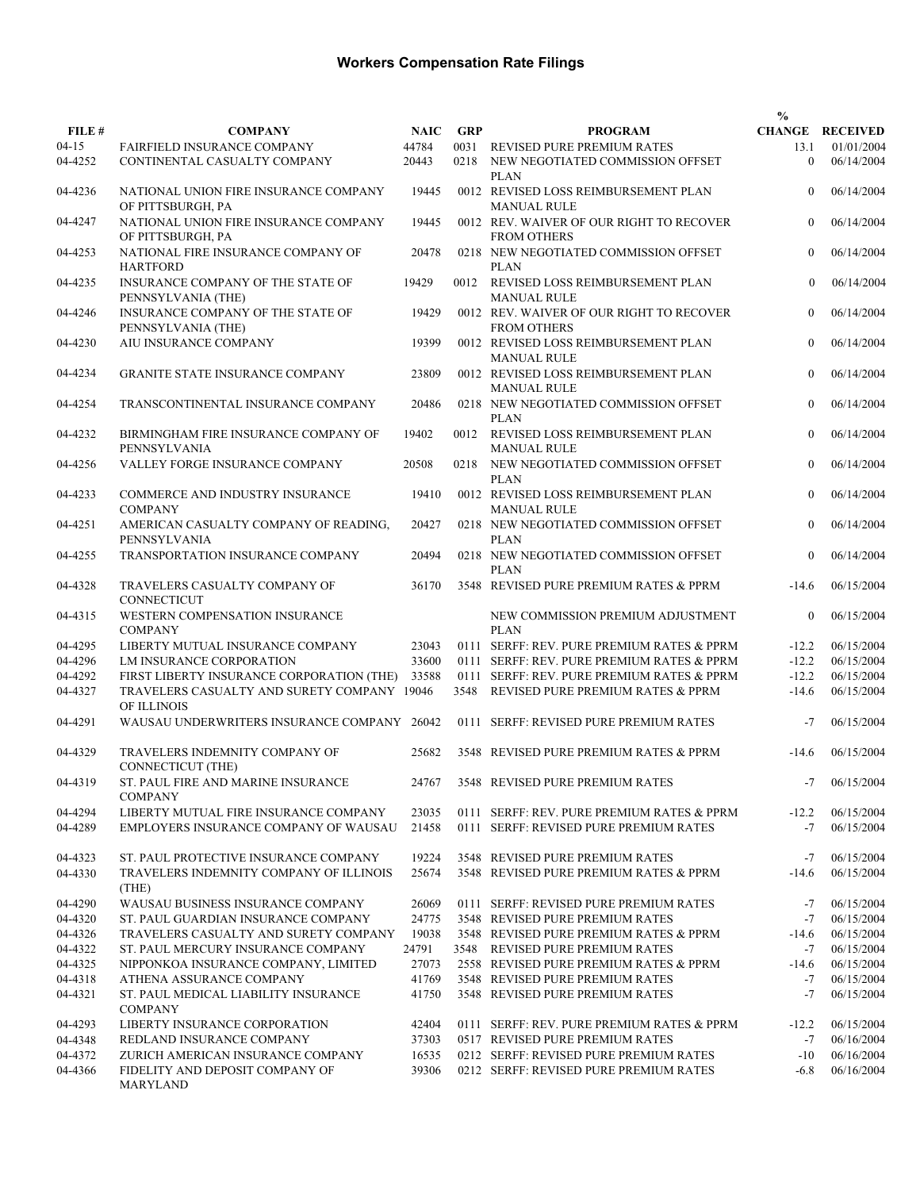|         |                                                            |             |            |                                                                | $\frac{0}{0}$  |                        |
|---------|------------------------------------------------------------|-------------|------------|----------------------------------------------------------------|----------------|------------------------|
| FILE #  | <b>COMPANY</b>                                             | <b>NAIC</b> | <b>GRP</b> | <b>PROGRAM</b>                                                 |                | <b>CHANGE RECEIVED</b> |
| $04-15$ | <b>FAIRFIELD INSURANCE COMPANY</b>                         | 44784       |            | 0031 REVISED PURE PREMIUM RATES                                | 13.1           | 01/01/2004             |
| 04-4252 | CONTINENTAL CASUALTY COMPANY                               | 20443       | 0218       | NEW NEGOTIATED COMMISSION OFFSET<br><b>PLAN</b>                | $\theta$       | 06/14/2004             |
| 04-4236 | NATIONAL UNION FIRE INSURANCE COMPANY<br>OF PITTSBURGH, PA | 19445       |            | 0012 REVISED LOSS REIMBURSEMENT PLAN<br><b>MANUAL RULE</b>     | $\mathbf{0}$   | 06/14/2004             |
| 04-4247 | NATIONAL UNION FIRE INSURANCE COMPANY<br>OF PITTSBURGH, PA | 19445       |            | 0012 REV. WAIVER OF OUR RIGHT TO RECOVER<br><b>FROM OTHERS</b> | $\mathbf{0}$   | 06/14/2004             |
| 04-4253 | NATIONAL FIRE INSURANCE COMPANY OF<br><b>HARTFORD</b>      | 20478       |            | 0218 NEW NEGOTIATED COMMISSION OFFSET<br><b>PLAN</b>           | $\mathbf{0}$   | 06/14/2004             |
| 04-4235 | INSURANCE COMPANY OF THE STATE OF<br>PENNSYLVANIA (THE)    | 19429       |            | 0012 REVISED LOSS REIMBURSEMENT PLAN<br><b>MANUAL RULE</b>     | $\Omega$       | 06/14/2004             |
| 04-4246 | INSURANCE COMPANY OF THE STATE OF<br>PENNSYLVANIA (THE)    | 19429       |            | 0012 REV. WAIVER OF OUR RIGHT TO RECOVER<br><b>FROM OTHERS</b> | $\mathbf{0}$   | 06/14/2004             |
| 04-4230 | AIU INSURANCE COMPANY                                      | 19399       |            | 0012 REVISED LOSS REIMBURSEMENT PLAN<br><b>MANUAL RULE</b>     | $\mathbf{0}$   | 06/14/2004             |
| 04-4234 | <b>GRANITE STATE INSURANCE COMPANY</b>                     | 23809       |            | 0012 REVISED LOSS REIMBURSEMENT PLAN<br><b>MANUAL RULE</b>     | $\mathbf{0}$   | 06/14/2004             |
| 04-4254 | TRANSCONTINENTAL INSURANCE COMPANY                         | 20486       |            | 0218 NEW NEGOTIATED COMMISSION OFFSET<br><b>PLAN</b>           | $\mathbf{0}$   | 06/14/2004             |
| 04-4232 | BIRMINGHAM FIRE INSURANCE COMPANY OF<br>PENNSYLVANIA       | 19402       |            | 0012 REVISED LOSS REIMBURSEMENT PLAN<br><b>MANUAL RULE</b>     | $\mathbf{0}$   | 06/14/2004             |
| 04-4256 | VALLEY FORGE INSURANCE COMPANY                             | 20508       | 0218       | NEW NEGOTIATED COMMISSION OFFSET<br><b>PLAN</b>                | $\mathbf{0}$   | 06/14/2004             |
| 04-4233 | COMMERCE AND INDUSTRY INSURANCE<br><b>COMPANY</b>          | 19410       |            | 0012 REVISED LOSS REIMBURSEMENT PLAN<br><b>MANUAL RULE</b>     | $\overline{0}$ | 06/14/2004             |
| 04-4251 | AMERICAN CASUALTY COMPANY OF READING,<br>PENNSYLVANIA      | 20427       |            | 0218 NEW NEGOTIATED COMMISSION OFFSET<br><b>PLAN</b>           | $\mathbf{0}$   | 06/14/2004             |
| 04-4255 | TRANSPORTATION INSURANCE COMPANY                           | 20494       |            | 0218 NEW NEGOTIATED COMMISSION OFFSET<br><b>PLAN</b>           | $\theta$       | 06/14/2004             |
| 04-4328 | TRAVELERS CASUALTY COMPANY OF<br><b>CONNECTICUT</b>        | 36170       |            | 3548 REVISED PURE PREMIUM RATES & PPRM                         | $-14.6$        | 06/15/2004             |
| 04-4315 | WESTERN COMPENSATION INSURANCE<br><b>COMPANY</b>           |             |            | NEW COMMISSION PREMIUM ADJUSTMENT<br><b>PLAN</b>               | $\theta$       | 06/15/2004             |
| 04-4295 | LIBERTY MUTUAL INSURANCE COMPANY                           | 23043       |            | 0111 SERFF: REV. PURE PREMIUM RATES & PPRM                     | $-12.2$        | 06/15/2004             |
| 04-4296 | LM INSURANCE CORPORATION                                   | 33600       |            | 0111 SERFF: REV. PURE PREMIUM RATES & PPRM                     | $-12.2$        | 06/15/2004             |
| 04-4292 | FIRST LIBERTY INSURANCE CORPORATION (THE)                  | 33588       |            | 0111 SERFF: REV. PURE PREMIUM RATES & PPRM                     | $-12.2$        | 06/15/2004             |
| 04-4327 | TRAVELERS CASUALTY AND SURETY COMPANY 19046<br>OF ILLINOIS |             | 3548       | REVISED PURE PREMIUM RATES & PPRM                              | $-14.6$        | 06/15/2004             |
| 04-4291 | WAUSAU UNDERWRITERS INSURANCE COMPANY                      | 26042       |            | 0111 SERFF: REVISED PURE PREMIUM RATES                         | $-7$           | 06/15/2004             |
| 04-4329 | TRAVELERS INDEMNITY COMPANY OF<br>CONNECTICUT (THE)        | 25682       |            | 3548 REVISED PURE PREMIUM RATES & PPRM                         | $-14.6$        | 06/15/2004             |
| 04-4319 | ST. PAUL FIRE AND MARINE INSURANCE<br><b>COMPANY</b>       |             |            | 24767 3548 REVISED PURE PREMIUM RATES                          |                | $-7$ 06/15/2004        |
| 04-4294 | LIBERTY MUTUAL FIRE INSURANCE COMPANY                      | 23035       |            | 0111 SERFF: REV. PURE PREMIUM RATES & PPRM                     | $-12.2$        | 06/15/2004             |
| 04-4289 | EMPLOYERS INSURANCE COMPANY OF WAUSAU                      | 21458       |            | 0111 SERFF: REVISED PURE PREMIUM RATES                         | $-7$           | 06/15/2004             |
| 04-4323 | ST. PAUL PROTECTIVE INSURANCE COMPANY                      | 19224       |            | 3548 REVISED PURE PREMIUM RATES                                | -7             | 06/15/2004             |
| 04-4330 | TRAVELERS INDEMNITY COMPANY OF ILLINOIS<br>(THE)           | 25674       |            | 3548 REVISED PURE PREMIUM RATES & PPRM                         | $-14.6$        | 06/15/2004             |
| 04-4290 | WAUSAU BUSINESS INSURANCE COMPANY                          | 26069       |            | 0111 SERFF: REVISED PURE PREMIUM RATES                         | $-7$           | 06/15/2004             |
| 04-4320 | ST. PAUL GUARDIAN INSURANCE COMPANY                        | 24775       |            | 3548 REVISED PURE PREMIUM RATES                                | $-7$           | 06/15/2004             |
| 04-4326 | TRAVELERS CASUALTY AND SURETY COMPANY                      | 19038       |            | 3548 REVISED PURE PREMIUM RATES & PPRM                         | $-14.6$        | 06/15/2004             |
| 04-4322 | ST. PAUL MERCURY INSURANCE COMPANY                         | 24791       |            | 3548 REVISED PURE PREMIUM RATES                                | $-7$           | 06/15/2004             |
| 04-4325 | NIPPONKOA INSURANCE COMPANY, LIMITED                       | 27073       |            | 2558 REVISED PURE PREMIUM RATES & PPRM                         | $-14.6$        | 06/15/2004             |
| 04-4318 | ATHENA ASSURANCE COMPANY                                   | 41769       |            | 3548 REVISED PURE PREMIUM RATES                                | $-7$           | 06/15/2004             |
| 04-4321 | ST. PAUL MEDICAL LIABILITY INSURANCE<br><b>COMPANY</b>     | 41750       |            | 3548 REVISED PURE PREMIUM RATES                                | $-7$           | 06/15/2004             |
| 04-4293 | LIBERTY INSURANCE CORPORATION                              | 42404       |            | 0111 SERFF: REV. PURE PREMIUM RATES & PPRM                     | $-12.2$        | 06/15/2004             |
| 04-4348 | REDLAND INSURANCE COMPANY                                  | 37303       |            | 0517 REVISED PURE PREMIUM RATES                                | $-7$           | 06/16/2004             |
| 04-4372 | ZURICH AMERICAN INSURANCE COMPANY                          | 16535       |            | 0212 SERFF: REVISED PURE PREMIUM RATES                         | $-10$          | 06/16/2004             |
| 04-4366 | FIDELITY AND DEPOSIT COMPANY OF<br><b>MARYLAND</b>         | 39306       |            | 0212 SERFF: REVISED PURE PREMIUM RATES                         | $-6.8$         | 06/16/2004             |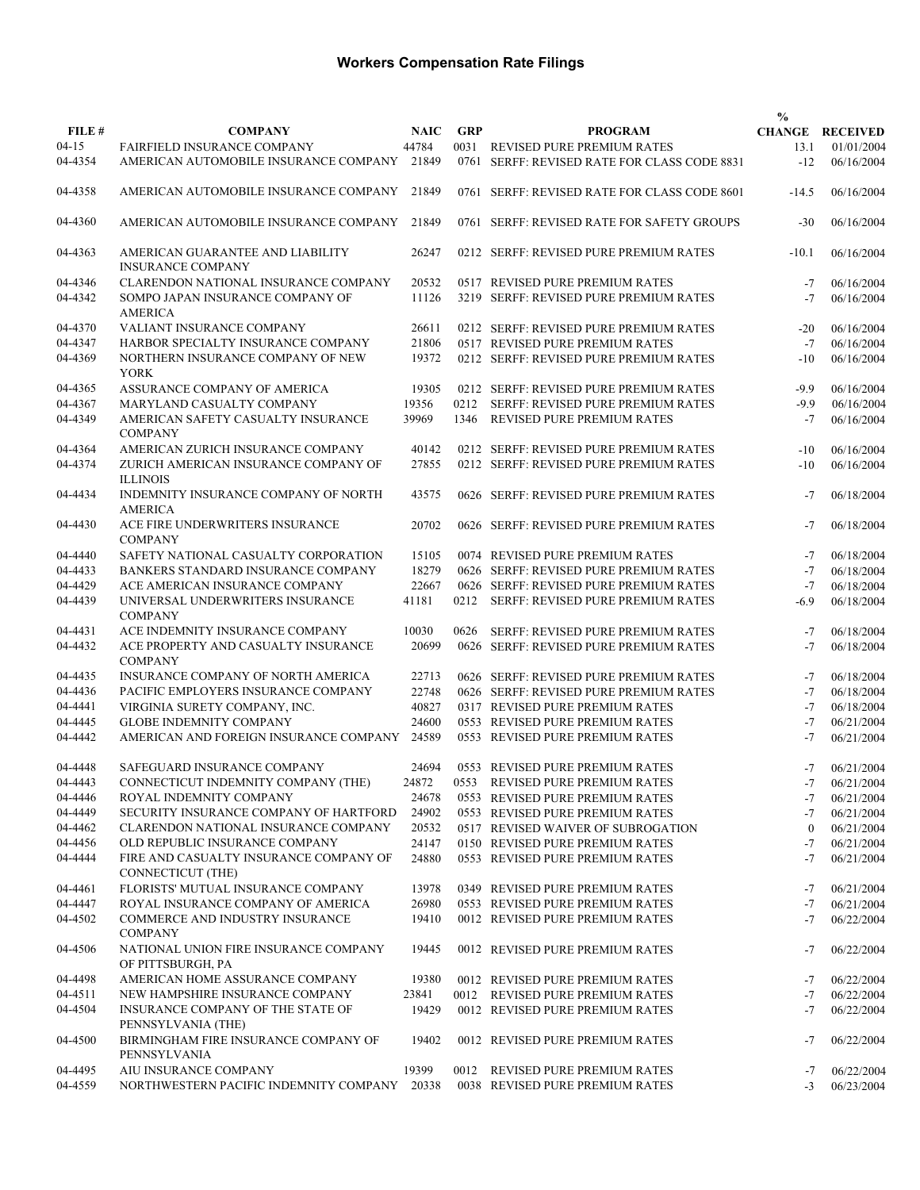|           |                                                                            |             |            |                                              | $\frac{0}{0}$ |                        |
|-----------|----------------------------------------------------------------------------|-------------|------------|----------------------------------------------|---------------|------------------------|
| FILE #    | <b>COMPANY</b>                                                             | <b>NAIC</b> | <b>GRP</b> | <b>PROGRAM</b>                               |               | <b>CHANGE RECEIVED</b> |
| $04 - 15$ | FAIRFIELD INSURANCE COMPANY                                                | 44784       |            | 0031 REVISED PURE PREMIUM RATES              | 13.1          | 01/01/2004             |
| 04-4354   | AMERICAN AUTOMOBILE INSURANCE COMPANY                                      | 21849       |            | 0761 SERFF: REVISED RATE FOR CLASS CODE 8831 | $-12$         | 06/16/2004             |
| 04-4358   | AMERICAN AUTOMOBILE INSURANCE COMPANY                                      | 21849       |            | 0761 SERFF: REVISED RATE FOR CLASS CODE 8601 | $-14.5$       | 06/16/2004             |
| 04-4360   | AMERICAN AUTOMOBILE INSURANCE COMPANY                                      | 21849       |            | 0761 SERFF: REVISED RATE FOR SAFETY GROUPS   | $-30$         | 06/16/2004             |
| 04-4363   | AMERICAN GUARANTEE AND LIABILITY<br><b>INSURANCE COMPANY</b>               | 26247       |            | 0212 SERFF: REVISED PURE PREMIUM RATES       | $-10.1$       | 06/16/2004             |
| 04-4346   | CLARENDON NATIONAL INSURANCE COMPANY                                       | 20532       |            | 0517 REVISED PURE PREMIUM RATES              | $-7$          | 06/16/2004             |
| 04-4342   | SOMPO JAPAN INSURANCE COMPANY OF<br><b>AMERICA</b>                         | 11126       |            | 3219 SERFF: REVISED PURE PREMIUM RATES       | $-7$          | 06/16/2004             |
| 04-4370   | VALIANT INSURANCE COMPANY                                                  | 26611       |            | 0212 SERFF: REVISED PURE PREMIUM RATES       | $-20$         | 06/16/2004             |
| 04-4347   | HARBOR SPECIALTY INSURANCE COMPANY                                         | 21806       |            | 0517 REVISED PURE PREMIUM RATES              | $-7$          | 06/16/2004             |
| 04-4369   | NORTHERN INSURANCE COMPANY OF NEW<br><b>YORK</b>                           | 19372       |            | 0212 SERFF: REVISED PURE PREMIUM RATES       | $-10$         | 06/16/2004             |
| 04-4365   | ASSURANCE COMPANY OF AMERICA                                               | 19305       |            | 0212 SERFF: REVISED PURE PREMIUM RATES       | $-9.9$        | 06/16/2004             |
| 04-4367   | MARYLAND CASUALTY COMPANY                                                  | 19356       | 0212       | SERFF: REVISED PURE PREMIUM RATES            | $-9.9$        | 06/16/2004             |
| 04-4349   | AMERICAN SAFETY CASUALTY INSURANCE<br><b>COMPANY</b>                       | 39969       | 1346       | <b>REVISED PURE PREMIUM RATES</b>            | $-7$          | 06/16/2004             |
| 04-4364   | AMERICAN ZURICH INSURANCE COMPANY                                          | 40142       |            | 0212 SERFF: REVISED PURE PREMIUM RATES       | $-10$         | 06/16/2004             |
| 04-4374   | ZURICH AMERICAN INSURANCE COMPANY OF<br><b>ILLINOIS</b>                    | 27855       |            | 0212 SERFF: REVISED PURE PREMIUM RATES       | $-10$         | 06/16/2004             |
| 04-4434   | INDEMNITY INSURANCE COMPANY OF NORTH<br><b>AMERICA</b>                     | 43575       |            | 0626 SERFF: REVISED PURE PREMIUM RATES       | $-7$          | 06/18/2004             |
| 04-4430   | ACE FIRE UNDERWRITERS INSURANCE<br><b>COMPANY</b>                          | 20702       |            | 0626 SERFF: REVISED PURE PREMIUM RATES       | $-7$          | 06/18/2004             |
| 04-4440   | SAFETY NATIONAL CASUALTY CORPORATION                                       | 15105       |            | 0074 REVISED PURE PREMIUM RATES              | $-7$          | 06/18/2004             |
| 04-4433   | BANKERS STANDARD INSURANCE COMPANY                                         | 18279       |            | 0626 SERFF: REVISED PURE PREMIUM RATES       | $-7$          | 06/18/2004             |
| 04-4429   | ACE AMERICAN INSURANCE COMPANY                                             | 22667       |            | 0626 SERFF: REVISED PURE PREMIUM RATES       | $-7$          | 06/18/2004             |
| 04-4439   | UNIVERSAL UNDERWRITERS INSURANCE<br><b>COMPANY</b>                         | 41181       | 0212       | SERFF: REVISED PURE PREMIUM RATES            | $-6.9$        | 06/18/2004             |
| 04-4431   | ACE INDEMNITY INSURANCE COMPANY                                            | 10030       | 0626       | SERFF: REVISED PURE PREMIUM RATES            | $-7$          | 06/18/2004             |
| 04-4432   | ACE PROPERTY AND CASUALTY INSURANCE<br><b>COMPANY</b>                      | 20699       |            | 0626 SERFF: REVISED PURE PREMIUM RATES       | $-7$          | 06/18/2004             |
| 04-4435   | INSURANCE COMPANY OF NORTH AMERICA                                         | 22713       |            | 0626 SERFF: REVISED PURE PREMIUM RATES       | $-7$          | 06/18/2004             |
| 04-4436   | PACIFIC EMPLOYERS INSURANCE COMPANY                                        | 22748       |            | 0626 SERFF: REVISED PURE PREMIUM RATES       | $-7$          | 06/18/2004             |
| 04-4441   | VIRGINIA SURETY COMPANY, INC.                                              | 40827       |            | 0317 REVISED PURE PREMIUM RATES              | $-7$          | 06/18/2004             |
| 04-4445   | <b>GLOBE INDEMNITY COMPANY</b>                                             | 24600       |            | 0553 REVISED PURE PREMIUM RATES              | $-7$          | 06/21/2004             |
| 04-4442   | AMERICAN AND FOREIGN INSURANCE COMPANY                                     | 24589       |            | 0553 REVISED PURE PREMIUM RATES              | $-7$          | 06/21/2004             |
| 04-4448   | SAFEGUARD INSURANCE COMPANY                                                | 24694       |            | 0553 REVISED PURE PREMIUM RATES              | $-7$          | 06/21/2004             |
| 04-4443   | CONNECTICUT INDEMNITY COMPANY (THE)                                        | 24872       |            | 0553 REVISED PURE PREMIUM RATES              | $-7$          | 06/21/2004             |
| 04-4446   | ROYAL INDEMNITY COMPANY                                                    | 24678       |            | 0553 REVISED PURE PREMIUM RATES              | $-7$          | 06/21/2004             |
| 04-4449   | SECURITY INSURANCE COMPANY OF HARTFORD                                     | 24902       |            | 0553 REVISED PURE PREMIUM RATES              | $-7$          | 06/21/2004             |
| 04-4462   | CLARENDON NATIONAL INSURANCE COMPANY                                       | 20532       |            | 0517 REVISED WAIVER OF SUBROGATION           | $\mathbf{0}$  | 06/21/2004             |
| 04-4456   | OLD REPUBLIC INSURANCE COMPANY                                             | 24147       |            | 0150 REVISED PURE PREMIUM RATES              | $-7$          | 06/21/2004             |
| 04-4444   | FIRE AND CASUALTY INSURANCE COMPANY OF<br><b>CONNECTICUT (THE)</b>         | 24880       |            | 0553 REVISED PURE PREMIUM RATES              | $-7$          | 06/21/2004             |
| 04-4461   | FLORISTS' MUTUAL INSURANCE COMPANY                                         | 13978       |            | 0349 REVISED PURE PREMIUM RATES              | -7            | 06/21/2004             |
| 04-4447   | ROYAL INSURANCE COMPANY OF AMERICA                                         | 26980       |            | 0553 REVISED PURE PREMIUM RATES              | $-7$          | 06/21/2004             |
| 04-4502   | COMMERCE AND INDUSTRY INSURANCE<br><b>COMPANY</b>                          | 19410       |            | 0012 REVISED PURE PREMIUM RATES              | $-7$          | 06/22/2004             |
| 04-4506   | NATIONAL UNION FIRE INSURANCE COMPANY<br>OF PITTSBURGH, PA                 | 19445       |            | 0012 REVISED PURE PREMIUM RATES              | $-7$          | 06/22/2004             |
| 04-4498   | AMERICAN HOME ASSURANCE COMPANY                                            | 19380       |            | 0012 REVISED PURE PREMIUM RATES              | -7            | 06/22/2004             |
| 04-4511   | NEW HAMPSHIRE INSURANCE COMPANY                                            | 23841       |            | 0012 REVISED PURE PREMIUM RATES              | $-7$          | 06/22/2004             |
| 04-4504   | INSURANCE COMPANY OF THE STATE OF                                          | 19429       |            | 0012 REVISED PURE PREMIUM RATES              | $-7$          | 06/22/2004             |
| 04-4500   | PENNSYLVANIA (THE)<br>BIRMINGHAM FIRE INSURANCE COMPANY OF<br>PENNSYLVANIA | 19402       |            | 0012 REVISED PURE PREMIUM RATES              | $-7$          | 06/22/2004             |
| 04-4495   | AIU INSURANCE COMPANY                                                      | 19399       |            | 0012 REVISED PURE PREMIUM RATES              | $-7$          | 06/22/2004             |
| 04-4559   | NORTHWESTERN PACIFIC INDEMNITY COMPANY 20338                               |             |            | 0038 REVISED PURE PREMIUM RATES              | $-3$          | 06/23/2004             |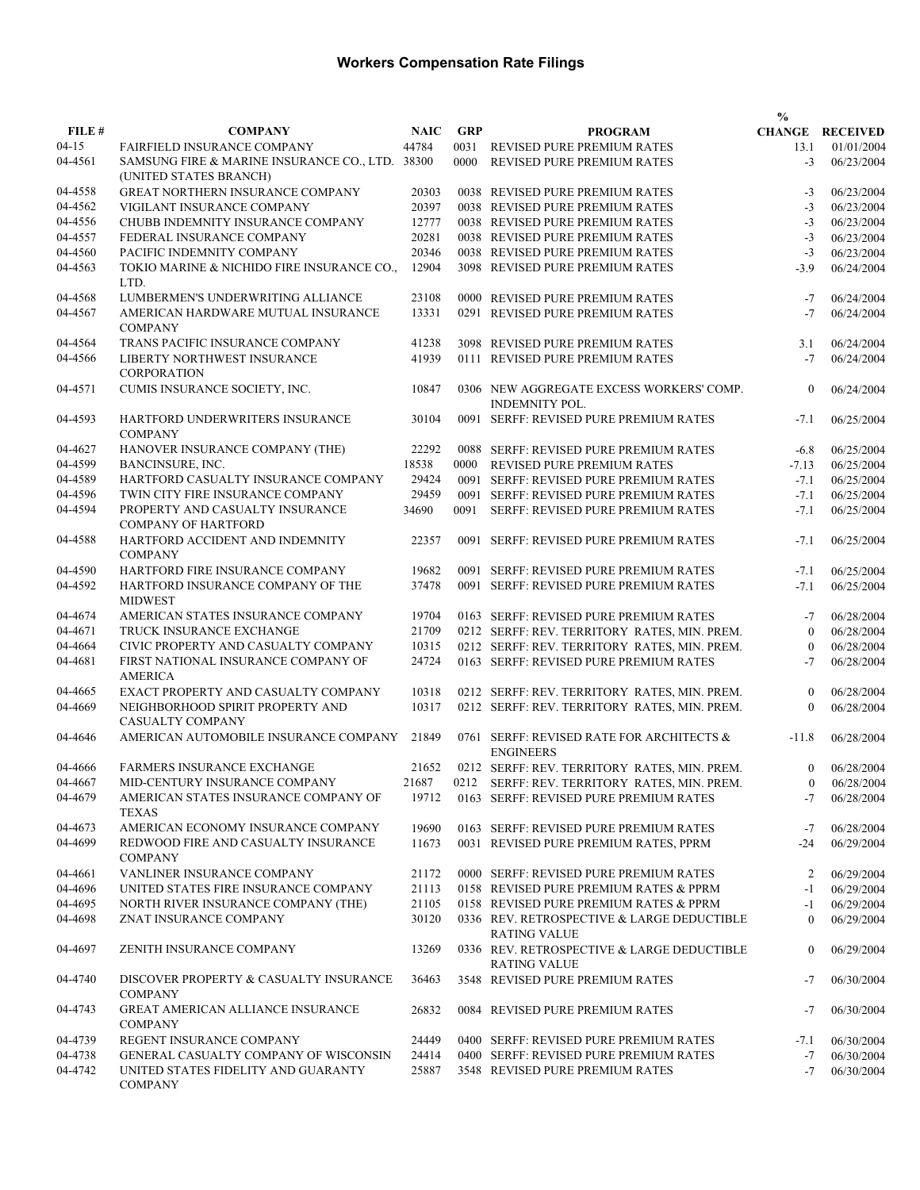|         |                                                                           |             |            |                                                                   | $\frac{0}{0}$  |                        |
|---------|---------------------------------------------------------------------------|-------------|------------|-------------------------------------------------------------------|----------------|------------------------|
| FILE #  | <b>COMPANY</b>                                                            | <b>NAIC</b> | <b>GRP</b> | <b>PROGRAM</b>                                                    |                | <b>CHANGE RECEIVED</b> |
| 04-15   | <b>FAIRFIELD INSURANCE COMPANY</b>                                        | 44784       | 0031       | REVISED PURE PREMIUM RATES                                        | 13.1           | 01/01/2004             |
| 04-4561 | SAMSUNG FIRE & MARINE INSURANCE CO., LTD. 38300<br>(UNITED STATES BRANCH) |             | 0000       | REVISED PURE PREMIUM RATES                                        | $-3$           | 06/23/2004             |
| 04-4558 | GREAT NORTHERN INSURANCE COMPANY                                          | 20303       |            | 0038 REVISED PURE PREMIUM RATES                                   | $-3$           | 06/23/2004             |
| 04-4562 | VIGILANT INSURANCE COMPANY                                                | 20397       |            | 0038 REVISED PURE PREMIUM RATES                                   | $-3$           | 06/23/2004             |
| 04-4556 | CHUBB INDEMNITY INSURANCE COMPANY                                         | 12777       |            | 0038 REVISED PURE PREMIUM RATES                                   | $-3$           | 06/23/2004             |
| 04-4557 | FEDERAL INSURANCE COMPANY                                                 | 20281       |            | 0038 REVISED PURE PREMIUM RATES                                   | $-3$           | 06/23/2004             |
| 04-4560 | PACIFIC INDEMNITY COMPANY                                                 | 20346       |            | 0038 REVISED PURE PREMIUM RATES                                   | $-3$           | 06/23/2004             |
| 04-4563 | TOKIO MARINE & NICHIDO FIRE INSURANCE CO.,<br>LTD.                        | 12904       |            | 3098 REVISED PURE PREMIUM RATES                                   | $-3.9$         | 06/24/2004             |
| 04-4568 | LUMBERMEN'S UNDERWRITING ALLIANCE                                         | 23108       |            | 0000 REVISED PURE PREMIUM RATES                                   | $-7$           | 06/24/2004             |
| 04-4567 | AMERICAN HARDWARE MUTUAL INSURANCE<br><b>COMPANY</b>                      | 13331       |            | 0291 REVISED PURE PREMIUM RATES                                   | $-7$           | 06/24/2004             |
| 04-4564 | TRANS PACIFIC INSURANCE COMPANY                                           | 41238       |            | 3098 REVISED PURE PREMIUM RATES                                   | 3.1            | 06/24/2004             |
| 04-4566 | LIBERTY NORTHWEST INSURANCE<br><b>CORPORATION</b>                         | 41939       |            | 0111 REVISED PURE PREMIUM RATES                                   | $-7$           | 06/24/2004             |
| 04-4571 | CUMIS INSURANCE SOCIETY, INC.                                             | 10847       |            | 0306 NEW AGGREGATE EXCESS WORKERS' COMP.<br>INDEMNITY POL.        | $\mathbf{0}$   | 06/24/2004             |
| 04-4593 | HARTFORD UNDERWRITERS INSURANCE<br><b>COMPANY</b>                         | 30104       |            | 0091 SERFF: REVISED PURE PREMIUM RATES                            | $-7.1$         | 06/25/2004             |
| 04-4627 | HANOVER INSURANCE COMPANY (THE)                                           | 22292       |            | 0088 SERFF: REVISED PURE PREMIUM RATES                            | $-6.8$         | 06/25/2004             |
| 04-4599 | BANCINSURE, INC.                                                          | 18538       | 0000       | <b>REVISED PURE PREMIUM RATES</b>                                 | $-7.13$        | 06/25/2004             |
| 04-4589 | HARTFORD CASUALTY INSURANCE COMPANY                                       | 29424       |            | 0091 SERFF: REVISED PURE PREMIUM RATES                            | $-7.1$         | 06/25/2004             |
| 04-4596 | TWIN CITY FIRE INSURANCE COMPANY                                          | 29459       |            | 0091 SERFF: REVISED PURE PREMIUM RATES                            | $-7.1$         | 06/25/2004             |
| 04-4594 | PROPERTY AND CASUALTY INSURANCE                                           | 34690       | 0091       | SERFF: REVISED PURE PREMIUM RATES                                 | $-7.1$         | 06/25/2004             |
| 04-4588 | <b>COMPANY OF HARTFORD</b><br>HARTFORD ACCIDENT AND INDEMNITY             | 22357       |            | 0091 SERFF: REVISED PURE PREMIUM RATES                            | $-7.1$         | 06/25/2004             |
|         | <b>COMPANY</b>                                                            |             |            |                                                                   |                |                        |
| 04-4590 | HARTFORD FIRE INSURANCE COMPANY                                           | 19682       |            | 0091 SERFF: REVISED PURE PREMIUM RATES                            | $-7.1$         | 06/25/2004             |
| 04-4592 | HARTFORD INSURANCE COMPANY OF THE<br><b>MIDWEST</b>                       | 37478       |            | 0091 SERFF: REVISED PURE PREMIUM RATES                            | $-7.1$         | 06/25/2004             |
| 04-4674 | AMERICAN STATES INSURANCE COMPANY                                         | 19704       |            | 0163 SERFF: REVISED PURE PREMIUM RATES                            | $-7$           | 06/28/2004             |
| 04-4671 | TRUCK INSURANCE EXCHANGE                                                  | 21709       |            | 0212 SERFF: REV. TERRITORY RATES, MIN. PREM.                      | $\mathbf{0}$   | 06/28/2004             |
| 04-4664 | CIVIC PROPERTY AND CASUALTY COMPANY                                       | 10315       |            | 0212 SERFF: REV. TERRITORY RATES, MIN. PREM.                      | $\mathbf{0}$   | 06/28/2004             |
| 04-4681 | FIRST NATIONAL INSURANCE COMPANY OF<br><b>AMERICA</b>                     | 24724       |            | 0163 SERFF: REVISED PURE PREMIUM RATES                            | $-7$           | 06/28/2004             |
| 04-4665 | EXACT PROPERTY AND CASUALTY COMPANY                                       | 10318       |            | 0212 SERFF: REV. TERRITORY RATES, MIN. PREM.                      | $\mathbf{0}$   | 06/28/2004             |
| 04-4669 | NEIGHBORHOOD SPIRIT PROPERTY AND<br>CASUALTY COMPANY                      | 10317       |            | 0212 SERFF: REV. TERRITORY RATES, MIN. PREM.                      | $\theta$       | 06/28/2004             |
| 04-4646 | AMERICAN AUTOMOBILE INSURANCE COMPANY                                     | 21849       |            | 0761 SERFF: REVISED RATE FOR ARCHITECTS &<br><b>ENGINEERS</b>     | $-11.8$        | 06/28/2004             |
| 04-4666 | <b>FARMERS INSURANCE EXCHANGE</b>                                         | 21652       |            | 0212 SERFF: REV. TERRITORY RATES, MIN. PREM.                      | $\overline{0}$ | 06/28/2004             |
| 04-4667 | MID-CENTURY INSURANCE COMPANY                                             |             |            | 21687 0212 SERFF: REV. TERRITORY RATES, MIN. PREM.                |                | $0$ 06/28/2004         |
| 04-4679 | AMERICAN STATES INSURANCE COMPANY OF<br><b>TEXAS</b>                      |             |            | 19712 0163 SERFF: REVISED PURE PREMIUM RATES                      | -7             | 06/28/2004             |
| 04-4673 | AMERICAN ECONOMY INSURANCE COMPANY                                        | 19690       |            | 0163 SERFF: REVISED PURE PREMIUM RATES                            | $-7$           | 06/28/2004             |
| 04-4699 | REDWOOD FIRE AND CASUALTY INSURANCE<br><b>COMPANY</b>                     | 11673       |            | 0031 REVISED PURE PREMIUM RATES, PPRM                             | $-24$          | 06/29/2004             |
| 04-4661 | VANLINER INSURANCE COMPANY                                                | 21172       |            | 0000 SERFF: REVISED PURE PREMIUM RATES                            | 2              | 06/29/2004             |
| 04-4696 | UNITED STATES FIRE INSURANCE COMPANY                                      | 21113       |            | 0158 REVISED PURE PREMIUM RATES & PPRM                            | $-1$           | 06/29/2004             |
| 04-4695 | NORTH RIVER INSURANCE COMPANY (THE)                                       | 21105       |            | 0158 REVISED PURE PREMIUM RATES & PPRM                            | $-1$           | 06/29/2004             |
| 04-4698 | ZNAT INSURANCE COMPANY                                                    | 30120       |            | 0336 REV. RETROSPECTIVE & LARGE DEDUCTIBLE<br><b>RATING VALUE</b> | $\theta$       | 06/29/2004             |
| 04-4697 | ZENITH INSURANCE COMPANY                                                  | 13269       |            | 0336 REV. RETROSPECTIVE & LARGE DEDUCTIBLE<br><b>RATING VALUE</b> | $\mathbf{0}$   | 06/29/2004             |
| 04-4740 | DISCOVER PROPERTY & CASUALTY INSURANCE<br><b>COMPANY</b>                  | 36463       |            | 3548 REVISED PURE PREMIUM RATES                                   | $-7$           | 06/30/2004             |
| 04-4743 | <b>GREAT AMERICAN ALLIANCE INSURANCE</b><br><b>COMPANY</b>                | 26832       |            | 0084 REVISED PURE PREMIUM RATES                                   | $-7$           | 06/30/2004             |
| 04-4739 | REGENT INSURANCE COMPANY                                                  | 24449       |            | 0400 SERFF: REVISED PURE PREMIUM RATES                            | $-7.1$         | 06/30/2004             |
| 04-4738 | GENERAL CASUALTY COMPANY OF WISCONSIN                                     | 24414       |            | 0400 SERFF: REVISED PURE PREMIUM RATES                            | $-7$           | 06/30/2004             |
| 04-4742 | UNITED STATES FIDELITY AND GUARANTY<br><b>COMPANY</b>                     | 25887       |            | 3548 REVISED PURE PREMIUM RATES                                   | $-7$           | 06/30/2004             |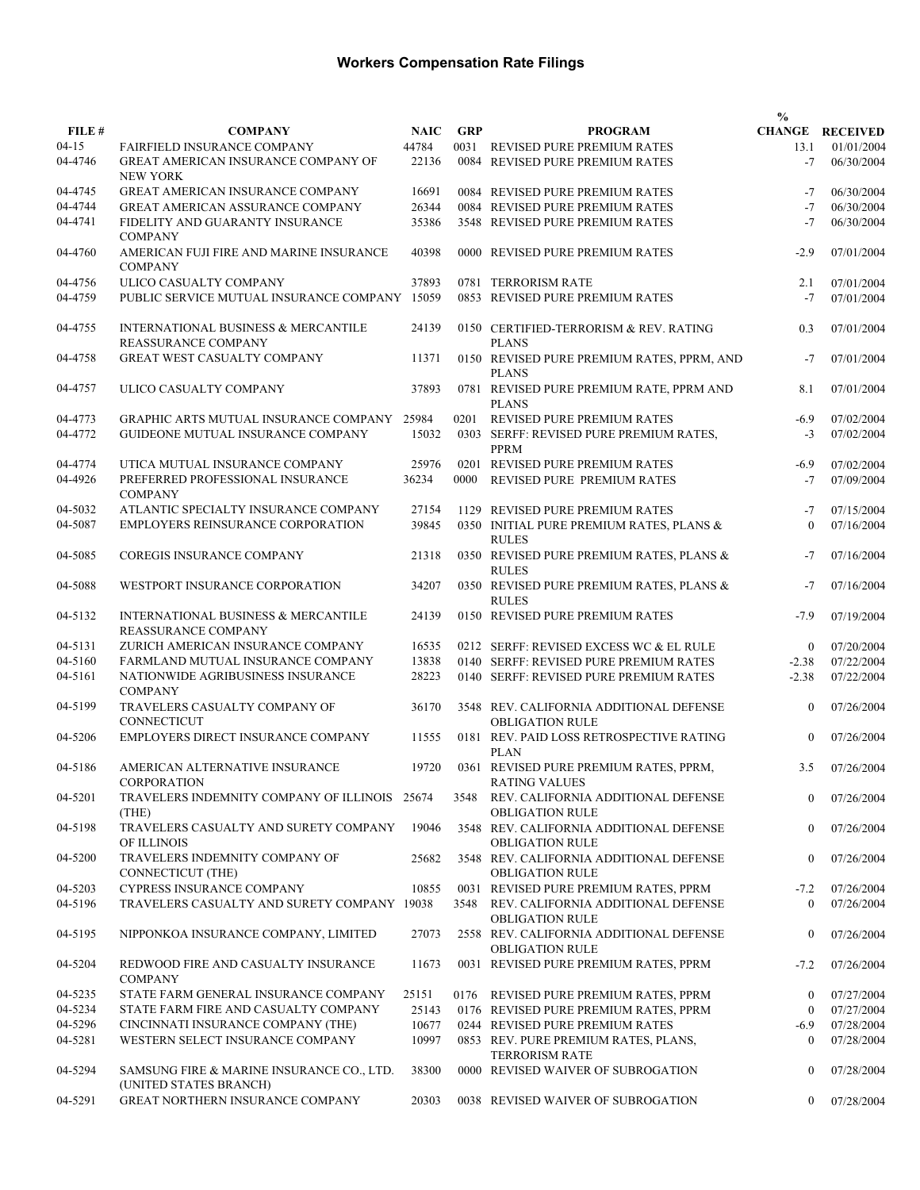|           |                                                                       |             |            |                                                                   | $\frac{0}{0}$  |                        |
|-----------|-----------------------------------------------------------------------|-------------|------------|-------------------------------------------------------------------|----------------|------------------------|
| FILE #    | <b>COMPANY</b>                                                        | <b>NAIC</b> | <b>GRP</b> | <b>PROGRAM</b>                                                    |                | <b>CHANGE RECEIVED</b> |
| $04 - 15$ | FAIRFIELD INSURANCE COMPANY                                           | 44784       |            | 0031 REVISED PURE PREMIUM RATES                                   | 13.1           | 01/01/2004             |
| 04-4746   | GREAT AMERICAN INSURANCE COMPANY OF<br><b>NEW YORK</b>                | 22136       |            | 0084 REVISED PURE PREMIUM RATES                                   | $-7$           | 06/30/2004             |
| 04-4745   | GREAT AMERICAN INSURANCE COMPANY                                      | 16691       |            | 0084 REVISED PURE PREMIUM RATES                                   | $-7$           | 06/30/2004             |
| 04-4744   | <b>GREAT AMERICAN ASSURANCE COMPANY</b>                               | 26344       |            | 0084 REVISED PURE PREMIUM RATES                                   | $-7$           | 06/30/2004             |
| 04-4741   | FIDELITY AND GUARANTY INSURANCE                                       | 35386       |            | 3548 REVISED PURE PREMIUM RATES                                   | $-7$           | 06/30/2004             |
| 04-4760   | <b>COMPANY</b><br>AMERICAN FUJI FIRE AND MARINE INSURANCE             | 40398       |            | 0000 REVISED PURE PREMIUM RATES                                   | $-2.9$         | 07/01/2004             |
|           | <b>COMPANY</b>                                                        |             |            |                                                                   |                |                        |
| 04-4756   | ULICO CASUALTY COMPANY                                                | 37893       |            | 0781 TERRORISM RATE                                               | 2.1            | 07/01/2004             |
| 04-4759   | PUBLIC SERVICE MUTUAL INSURANCE COMPANY 15059                         |             |            | 0853 REVISED PURE PREMIUM RATES                                   | $-7$           | 07/01/2004             |
| 04-4755   | <b>INTERNATIONAL BUSINESS &amp; MERCANTILE</b><br>REASSURANCE COMPANY | 24139       |            | 0150 CERTIFIED-TERRORISM & REV. RATING<br><b>PLANS</b>            | 0.3            | 07/01/2004             |
| 04-4758   | <b>GREAT WEST CASUALTY COMPANY</b>                                    | 11371       |            | 0150 REVISED PURE PREMIUM RATES, PPRM, AND<br><b>PLANS</b>        | $-7$           | 07/01/2004             |
| 04-4757   | ULICO CASUALTY COMPANY                                                | 37893       |            | 0781 REVISED PURE PREMIUM RATE, PPRM AND<br><b>PLANS</b>          | 8.1            | 07/01/2004             |
| 04-4773   | GRAPHIC ARTS MUTUAL INSURANCE COMPANY                                 | 25984       | 0201       | REVISED PURE PREMIUM RATES                                        | $-6.9$         | 07/02/2004             |
| 04-4772   | GUIDEONE MUTUAL INSURANCE COMPANY                                     | 15032       |            | 0303 SERFF: REVISED PURE PREMIUM RATES,                           | $-3$           | 07/02/2004             |
|           |                                                                       |             |            | <b>PPRM</b>                                                       |                |                        |
| 04-4774   | UTICA MUTUAL INSURANCE COMPANY                                        | 25976       |            | 0201 REVISED PURE PREMIUM RATES                                   | $-6.9$         | 07/02/2004             |
| 04-4926   | PREFERRED PROFESSIONAL INSURANCE<br><b>COMPANY</b>                    | 36234       | 0000       | REVISED PURE PREMIUM RATES                                        | $-7$           | 07/09/2004             |
| 04-5032   | ATLANTIC SPECIALTY INSURANCE COMPANY                                  | 27154       |            | 1129 REVISED PURE PREMIUM RATES                                   | $-7$           | 07/15/2004             |
| 04-5087   | EMPLOYERS REINSURANCE CORPORATION                                     | 39845       |            | 0350 INITIAL PURE PREMIUM RATES, PLANS &<br><b>RULES</b>          | $\mathbf{0}$   | 07/16/2004             |
| 04-5085   | COREGIS INSURANCE COMPANY                                             | 21318       |            | 0350 REVISED PURE PREMIUM RATES, PLANS &<br><b>RULES</b>          | $-7$           | 07/16/2004             |
| 04-5088   | WESTPORT INSURANCE CORPORATION                                        | 34207       |            | 0350 REVISED PURE PREMIUM RATES, PLANS &<br><b>RULES</b>          | $-7$           | 07/16/2004             |
| 04-5132   | INTERNATIONAL BUSINESS & MERCANTILE<br>REASSURANCE COMPANY            | 24139       |            | 0150 REVISED PURE PREMIUM RATES                                   | $-7.9$         | 07/19/2004             |
| 04-5131   | ZURICH AMERICAN INSURANCE COMPANY                                     | 16535       |            | 0212 SERFF: REVISED EXCESS WC & EL RULE                           | $\mathbf{0}$   | 07/20/2004             |
| 04-5160   | FARMLAND MUTUAL INSURANCE COMPANY                                     | 13838       |            | 0140 SERFF: REVISED PURE PREMIUM RATES                            | $-2.38$        | 07/22/2004             |
| 04-5161   | NATIONWIDE AGRIBUSINESS INSURANCE<br><b>COMPANY</b>                   | 28223       |            | 0140 SERFF: REVISED PURE PREMIUM RATES                            | $-2.38$        | 07/22/2004             |
| 04-5199   | TRAVELERS CASUALTY COMPANY OF<br>CONNECTICUT                          | 36170       |            | 3548 REV. CALIFORNIA ADDITIONAL DEFENSE<br><b>OBLIGATION RULE</b> | $\mathbf{0}$   | 07/26/2004             |
| 04-5206   | EMPLOYERS DIRECT INSURANCE COMPANY                                    | 11555       |            | 0181 REV. PAID LOSS RETROSPECTIVE RATING<br><b>PLAN</b>           | $\mathbf{0}$   | 07/26/2004             |
| 04-5186   | AMERICAN ALTERNATIVE INSURANCE<br><b>CORPORATION</b>                  | 19720       |            | 0361 REVISED PURE PREMIUM RATES, PPRM,                            | 3.5            | 07/26/2004             |
| 04-5201   | TRAVELERS INDEMNITY COMPANY OF ILLINOIS 25674                         |             |            | RATING VALUES<br>3548 REV. CALIFORNIA ADDITIONAL DEFENSE          | $\theta$       | 07/26/2004             |
| 04-5198   | (THE)<br>TRAVELERS CASUALTY AND SURETY COMPANY                        | 19046       |            | <b>OBLIGATION RULE</b><br>3548 REV. CALIFORNIA ADDITIONAL DEFENSE | $\overline{0}$ | 07/26/2004             |
| 04-5200   | OF ILLINOIS<br>TRAVELERS INDEMNITY COMPANY OF                         | 25682       |            | <b>OBLIGATION RULE</b><br>3548 REV. CALIFORNIA ADDITIONAL DEFENSE | $\mathbf{0}$   | 07/26/2004             |
|           | <b>CONNECTICUT (THE)</b>                                              |             |            | <b>OBLIGATION RULE</b>                                            |                |                        |
| 04-5203   | CYPRESS INSURANCE COMPANY                                             | 10855       |            | 0031 REVISED PURE PREMIUM RATES, PPRM                             | $-7.2$         | 07/26/2004             |
| 04-5196   | TRAVELERS CASUALTY AND SURETY COMPANY 19038                           |             |            | 3548 REV. CALIFORNIA ADDITIONAL DEFENSE<br><b>OBLIGATION RULE</b> | $\left($       | 07/26/2004             |
| 04-5195   | NIPPONKOA INSURANCE COMPANY, LIMITED                                  | 27073       |            | 2558 REV. CALIFORNIA ADDITIONAL DEFENSE                           | $\mathbf{0}$   | 07/26/2004             |
| 04-5204   | REDWOOD FIRE AND CASUALTY INSURANCE<br><b>COMPANY</b>                 | 11673       |            | <b>OBLIGATION RULE</b><br>0031 REVISED PURE PREMIUM RATES, PPRM   | $-7.2$         | 07/26/2004             |
| 04-5235   | STATE FARM GENERAL INSURANCE COMPANY                                  | 25151       |            | 0176 REVISED PURE PREMIUM RATES, PPRM                             | $\mathbf{0}$   | 07/27/2004             |
| 04-5234   | STATE FARM FIRE AND CASUALTY COMPANY                                  | 25143       |            | 0176 REVISED PURE PREMIUM RATES, PPRM                             | $\overline{0}$ | 07/27/2004             |
| 04-5296   | CINCINNATI INSURANCE COMPANY (THE)                                    | 10677       |            | 0244 REVISED PURE PREMIUM RATES                                   | $-6.9$         | 07/28/2004             |
| 04-5281   | WESTERN SELECT INSURANCE COMPANY                                      | 10997       |            | 0853 REV. PURE PREMIUM RATES, PLANS,<br><b>TERRORISM RATE</b>     | $\mathbf{0}$   | 07/28/2004             |
| 04-5294   | SAMSUNG FIRE & MARINE INSURANCE CO., LTD.<br>(UNITED STATES BRANCH)   | 38300       |            | 0000 REVISED WAIVER OF SUBROGATION                                | $\mathbf{0}$   | 07/28/2004             |
| 04-5291   | GREAT NORTHERN INSURANCE COMPANY                                      | 20303       |            | 0038 REVISED WAIVER OF SUBROGATION                                | $\overline{0}$ | 07/28/2004             |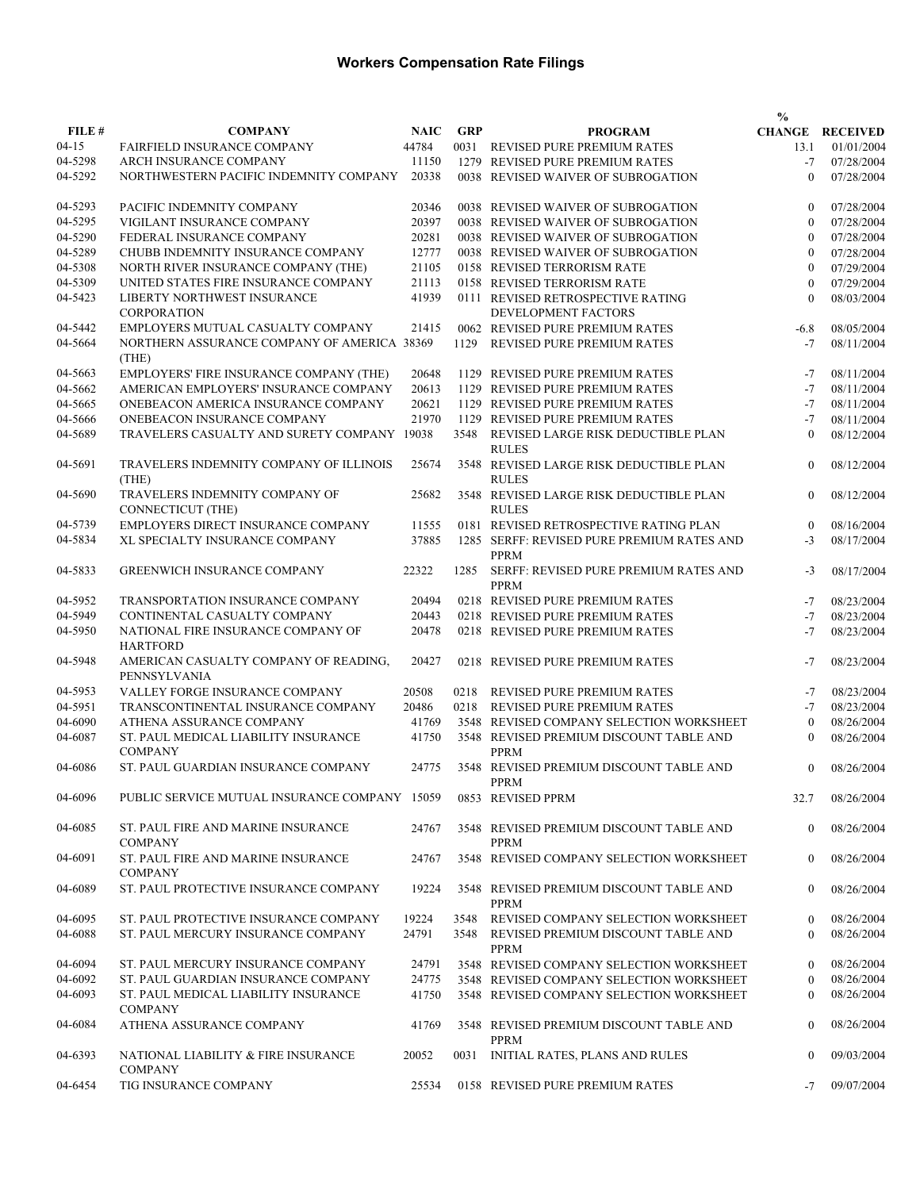|           |                                                            |             |            |                                                           | $\frac{0}{0}$    |                        |
|-----------|------------------------------------------------------------|-------------|------------|-----------------------------------------------------------|------------------|------------------------|
| FILE#     | <b>COMPANY</b>                                             | <b>NAIC</b> | <b>GRP</b> | <b>PROGRAM</b>                                            |                  | <b>CHANGE RECEIVED</b> |
| $04 - 15$ | FAIRFIELD INSURANCE COMPANY                                | 44784       |            | 0031 REVISED PURE PREMIUM RATES                           | 13.1             | 01/01/2004             |
| 04-5298   | ARCH INSURANCE COMPANY                                     | 11150       |            | 1279 REVISED PURE PREMIUM RATES                           | $-7$             | 07/28/2004             |
| 04-5292   | NORTHWESTERN PACIFIC INDEMNITY COMPANY                     | 20338       |            | 0038 REVISED WAIVER OF SUBROGATION                        | $\theta$         | 07/28/2004             |
|           |                                                            |             |            |                                                           |                  |                        |
| 04-5293   | PACIFIC INDEMNITY COMPANY                                  | 20346       |            | 0038 REVISED WAIVER OF SUBROGATION                        | $\mathbf{0}$     | 07/28/2004             |
| 04-5295   | VIGILANT INSURANCE COMPANY                                 | 20397       |            | 0038 REVISED WAIVER OF SUBROGATION                        | $\theta$         | 07/28/2004             |
| 04-5290   | FEDERAL INSURANCE COMPANY                                  | 20281       |            | 0038 REVISED WAIVER OF SUBROGATION                        | $\mathbf{0}$     | 07/28/2004             |
| 04-5289   | CHUBB INDEMNITY INSURANCE COMPANY                          | 12777       |            | 0038 REVISED WAIVER OF SUBROGATION                        | $\theta$         | 07/28/2004             |
| 04-5308   | NORTH RIVER INSURANCE COMPANY (THE)                        | 21105       |            | 0158 REVISED TERRORISM RATE                               | $\theta$         | 07/29/2004             |
| 04-5309   | UNITED STATES FIRE INSURANCE COMPANY                       | 21113       |            | 0158 REVISED TERRORISM RATE                               | $\theta$         | 07/29/2004             |
| 04-5423   | LIBERTY NORTHWEST INSURANCE                                | 41939       |            | 0111 REVISED RETROSPECTIVE RATING                         | $\Omega$         | 08/03/2004             |
|           | <b>CORPORATION</b>                                         |             |            | DEVELOPMENT FACTORS                                       |                  |                        |
| 04-5442   | EMPLOYERS MUTUAL CASUALTY COMPANY                          | 21415       |            | 0062 REVISED PURE PREMIUM RATES                           | $-6.8$           | 08/05/2004             |
| 04-5664   | NORTHERN ASSURANCE COMPANY OF AMERICA 38369                |             | 1129       | REVISED PURE PREMIUM RATES                                | $-7$             | 08/11/2004             |
|           | (THE)                                                      |             |            |                                                           |                  |                        |
| 04-5663   | EMPLOYERS' FIRE INSURANCE COMPANY (THE)                    | 20648       |            | 1129 REVISED PURE PREMIUM RATES                           | $-7$             | 08/11/2004             |
| 04-5662   | AMERICAN EMPLOYERS' INSURANCE COMPANY                      | 20613       |            | 1129 REVISED PURE PREMIUM RATES                           | $-7$             | 08/11/2004             |
| 04-5665   | ONEBEACON AMERICA INSURANCE COMPANY                        | 20621       |            | 1129 REVISED PURE PREMIUM RATES                           | $-7$             | 08/11/2004             |
| 04-5666   | ONEBEACON INSURANCE COMPANY                                | 21970       |            | 1129 REVISED PURE PREMIUM RATES                           | $-7$             | 08/11/2004             |
| 04-5689   | TRAVELERS CASUALTY AND SURETY COMPANY                      | 19038       | 3548       | REVISED LARGE RISK DEDUCTIBLE PLAN                        | $\mathbf{0}$     | 08/12/2004             |
|           |                                                            |             |            | <b>RULES</b>                                              |                  |                        |
| 04-5691   | TRAVELERS INDEMNITY COMPANY OF ILLINOIS                    | 25674       |            | 3548 REVISED LARGE RISK DEDUCTIBLE PLAN                   | $\boldsymbol{0}$ | 08/12/2004             |
|           | (THE)                                                      |             |            | <b>RULES</b>                                              |                  |                        |
| 04-5690   | TRAVELERS INDEMNITY COMPANY OF<br><b>CONNECTICUT (THE)</b> | 25682       |            | 3548 REVISED LARGE RISK DEDUCTIBLE PLAN<br><b>RULES</b>   | $\mathbf{0}$     | 08/12/2004             |
|           |                                                            |             |            |                                                           |                  |                        |
| 04-5739   | EMPLOYERS DIRECT INSURANCE COMPANY                         | 11555       |            | 0181 REVISED RETROSPECTIVE RATING PLAN                    | $\mathbf{0}$     | 08/16/2004             |
| 04-5834   | XL SPECIALTY INSURANCE COMPANY                             | 37885       |            | 1285 SERFF: REVISED PURE PREMIUM RATES AND<br><b>PPRM</b> | $-3$             | 08/17/2004             |
| 04-5833   | <b>GREENWICH INSURANCE COMPANY</b>                         | 22322       | 1285       | SERFF: REVISED PURE PREMIUM RATES AND<br><b>PPRM</b>      | $-3$             | 08/17/2004             |
| 04-5952   | TRANSPORTATION INSURANCE COMPANY                           | 20494       |            | 0218 REVISED PURE PREMIUM RATES                           | $-7$             | 08/23/2004             |
| 04-5949   | CONTINENTAL CASUALTY COMPANY                               | 20443       |            | 0218 REVISED PURE PREMIUM RATES                           | $-7$             | 08/23/2004             |
| 04-5950   | NATIONAL FIRE INSURANCE COMPANY OF                         |             |            |                                                           | $-7$             |                        |
|           | <b>HARTFORD</b>                                            | 20478       |            | 0218 REVISED PURE PREMIUM RATES                           |                  | 08/23/2004             |
| 04-5948   | AMERICAN CASUALTY COMPANY OF READING,<br>PENNSYLVANIA      | 20427       |            | 0218 REVISED PURE PREMIUM RATES                           | $-7$             | 08/23/2004             |
| 04-5953   | VALLEY FORGE INSURANCE COMPANY                             | 20508       | 0218       | <b>REVISED PURE PREMIUM RATES</b>                         | $-7$             | 08/23/2004             |
| 04-5951   | TRANSCONTINENTAL INSURANCE COMPANY                         | 20486       | 0218       | REVISED PURE PREMIUM RATES                                | $-7$             | 08/23/2004             |
| 04-6090   | ATHENA ASSURANCE COMPANY                                   | 41769       |            | 3548 REVISED COMPANY SELECTION WORKSHEET                  | $\mathbf{0}$     | 08/26/2004             |
| 04-6087   | ST. PAUL MEDICAL LIABILITY INSURANCE                       | 41750       |            | 3548 REVISED PREMIUM DISCOUNT TABLE AND                   | $\Omega$         | 08/26/2004             |
|           | <b>COMPANY</b>                                             |             |            | <b>PPRM</b>                                               |                  |                        |
| 04-6086   | ST. PAUL GUARDIAN INSURANCE COMPANY                        | 24775       |            | 3548 REVISED PREMIUM DISCOUNT TABLE AND<br><b>PPRM</b>    | $\Omega$         | 08/26/2004             |
| 04-6096   | PUBLIC SERVICE MUTUAL INSURANCE COMPANY 15059              |             |            | 0853 REVISED PPRM                                         | 32.7             | 08/26/2004             |
| 04-6085   | ST. PAUL FIRE AND MARINE INSURANCE                         | 24767       |            | 3548 REVISED PREMIUM DISCOUNT TABLE AND                   | $\overline{0}$   | 08/26/2004             |
|           | <b>COMPANY</b>                                             |             |            | PPRM                                                      |                  |                        |
| 04-6091   | ST. PAUL FIRE AND MARINE INSURANCE<br><b>COMPANY</b>       | 24767       |            | 3548 REVISED COMPANY SELECTION WORKSHEET                  | $\overline{0}$   | 08/26/2004             |
| 04-6089   | ST. PAUL PROTECTIVE INSURANCE COMPANY                      | 19224       |            | 3548 REVISED PREMIUM DISCOUNT TABLE AND<br>PPRM           | $\Omega$         | 08/26/2004             |
| 04-6095   | ST. PAUL PROTECTIVE INSURANCE COMPANY                      | 19224       | 3548       | REVISED COMPANY SELECTION WORKSHEET                       | $\mathbf{0}$     | 08/26/2004             |
| 04-6088   | ST. PAUL MERCURY INSURANCE COMPANY                         | 24791       | 3548       |                                                           | $\theta$         | 08/26/2004             |
|           |                                                            |             |            | REVISED PREMIUM DISCOUNT TABLE AND<br><b>PPRM</b>         |                  |                        |
| 04-6094   | ST. PAUL MERCURY INSURANCE COMPANY                         | 24791       |            | 3548 REVISED COMPANY SELECTION WORKSHEET                  | $\Omega$         | 08/26/2004             |
| 04-6092   | ST. PAUL GUARDIAN INSURANCE COMPANY                        | 24775       |            | 3548 REVISED COMPANY SELECTION WORKSHEET                  | $\Omega$         | 08/26/2004             |
| 04-6093   | ST. PAUL MEDICAL LIABILITY INSURANCE                       | 41750       |            | 3548 REVISED COMPANY SELECTION WORKSHEET                  | $\theta$         | 08/26/2004             |
|           | <b>COMPANY</b>                                             |             |            |                                                           |                  |                        |
| 04-6084   | ATHENA ASSURANCE COMPANY                                   | 41769       |            | 3548 REVISED PREMIUM DISCOUNT TABLE AND                   | $\overline{0}$   | 08/26/2004             |
|           |                                                            |             |            | PPRM                                                      |                  |                        |
| 04-6393   | NATIONAL LIABILITY & FIRE INSURANCE<br><b>COMPANY</b>      | 20052       |            | 0031 INITIAL RATES, PLANS AND RULES                       | $\mathbf{0}$     | 09/03/2004             |
|           | TIG INSURANCE COMPANY                                      | 25534       |            |                                                           |                  | 09/07/2004             |
| 04-6454   |                                                            |             |            | 0158 REVISED PURE PREMIUM RATES                           | $-7$             |                        |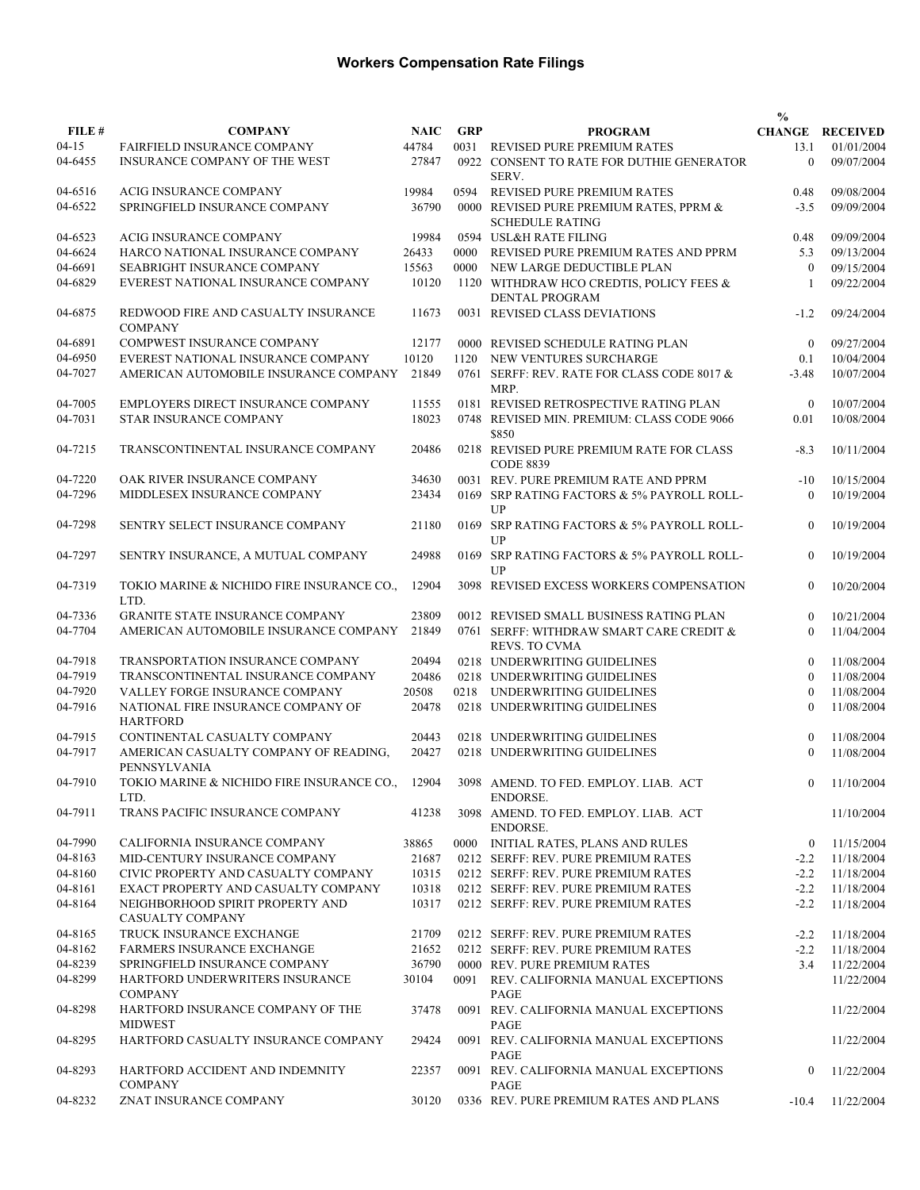|           |                                                             |             |            |                                                                   | $\frac{0}{0}$  |                        |
|-----------|-------------------------------------------------------------|-------------|------------|-------------------------------------------------------------------|----------------|------------------------|
| FILE #    | <b>COMPANY</b>                                              | <b>NAIC</b> | <b>GRP</b> | <b>PROGRAM</b>                                                    |                | <b>CHANGE RECEIVED</b> |
| $04 - 15$ | <b>FAIRFIELD INSURANCE COMPANY</b>                          | 44784       | 0031       | REVISED PURE PREMIUM RATES                                        | 13.1           | 01/01/2004             |
| 04-6455   | INSURANCE COMPANY OF THE WEST                               | 27847       |            | 0922 CONSENT TO RATE FOR DUTHIE GENERATOR<br>SERV.                | $\theta$       | 09/07/2004             |
| 04-6516   | ACIG INSURANCE COMPANY                                      | 19984       | 0594       | REVISED PURE PREMIUM RATES                                        | 0.48           | 09/08/2004             |
| 04-6522   | SPRINGFIELD INSURANCE COMPANY                               | 36790       |            | 0000 REVISED PURE PREMIUM RATES, PPRM &<br><b>SCHEDULE RATING</b> | $-3.5$         | 09/09/2004             |
| 04-6523   | <b>ACIG INSURANCE COMPANY</b>                               | 19984       |            | 0594 USL&H RATE FILING                                            | 0.48           | 09/09/2004             |
| 04-6624   | HARCO NATIONAL INSURANCE COMPANY                            | 26433       | 0000       | REVISED PURE PREMIUM RATES AND PPRM                               | 5.3            | 09/13/2004             |
| 04-6691   | SEABRIGHT INSURANCE COMPANY                                 | 15563       |            | 0000 NEW LARGE DEDUCTIBLE PLAN                                    | $\theta$       | 09/15/2004             |
| 04-6829   | EVEREST NATIONAL INSURANCE COMPANY                          | 10120       |            | 1120 WITHDRAW HCO CREDTIS, POLICY FEES &<br><b>DENTAL PROGRAM</b> | $\mathbf{1}$   | 09/22/2004             |
| 04-6875   | REDWOOD FIRE AND CASUALTY INSURANCE<br><b>COMPANY</b>       | 11673       |            | 0031 REVISED CLASS DEVIATIONS                                     | $-1.2$         | 09/24/2004             |
| 04-6891   | COMPWEST INSURANCE COMPANY                                  | 12177       |            | 0000 REVISED SCHEDULE RATING PLAN                                 | $\theta$       | 09/27/2004             |
| 04-6950   | EVEREST NATIONAL INSURANCE COMPANY                          | 10120       | 1120       | NEW VENTURES SURCHARGE                                            | 0.1            | 10/04/2004             |
| 04-7027   | AMERICAN AUTOMOBILE INSURANCE COMPANY                       | 21849       |            | 0761 SERFF: REV. RATE FOR CLASS CODE 8017 &<br>MRP.               | $-3.48$        | 10/07/2004             |
| 04-7005   | EMPLOYERS DIRECT INSURANCE COMPANY                          | 11555       |            | 0181 REVISED RETROSPECTIVE RATING PLAN                            | $\overline{0}$ | 10/07/2004             |
| 04-7031   | <b>STAR INSURANCE COMPANY</b>                               | 18023       |            | 0748 REVISED MIN. PREMIUM: CLASS CODE 9066<br>\$850               | 0.01           | 10/08/2004             |
| 04-7215   | TRANSCONTINENTAL INSURANCE COMPANY                          | 20486       |            | 0218 REVISED PURE PREMIUM RATE FOR CLASS<br><b>CODE 8839</b>      | $-8.3$         | 10/11/2004             |
| 04-7220   | OAK RIVER INSURANCE COMPANY                                 | 34630       |            | 0031 REV. PURE PREMIUM RATE AND PPRM                              | $-10$          | 10/15/2004             |
| 04-7296   | MIDDLESEX INSURANCE COMPANY                                 | 23434       |            | 0169 SRP RATING FACTORS & 5% PAYROLL ROLL-<br>UP                  | $\theta$       | 10/19/2004             |
| 04-7298   | SENTRY SELECT INSURANCE COMPANY                             | 21180       |            | 0169 SRP RATING FACTORS & 5% PAYROLL ROLL-<br>UP                  | $\mathbf{0}$   | 10/19/2004             |
| 04-7297   | SENTRY INSURANCE, A MUTUAL COMPANY                          | 24988       |            | 0169 SRP RATING FACTORS & 5% PAYROLL ROLL-<br>UP                  | $\mathbf{0}$   | 10/19/2004             |
| 04-7319   | TOKIO MARINE & NICHIDO FIRE INSURANCE CO.,<br>LTD.          | 12904       |            | 3098 REVISED EXCESS WORKERS COMPENSATION                          | $\theta$       | 10/20/2004             |
| 04-7336   | <b>GRANITE STATE INSURANCE COMPANY</b>                      | 23809       |            | 0012 REVISED SMALL BUSINESS RATING PLAN                           | $\theta$       | 10/21/2004             |
| 04-7704   | AMERICAN AUTOMOBILE INSURANCE COMPANY                       | 21849       |            | 0761 SERFF: WITHDRAW SMART CARE CREDIT &<br><b>REVS. TO CVMA</b>  | $\theta$       | 11/04/2004             |
| 04-7918   | TRANSPORTATION INSURANCE COMPANY                            | 20494       |            | 0218 UNDERWRITING GUIDELINES                                      | $\theta$       | 11/08/2004             |
| 04-7919   | TRANSCONTINENTAL INSURANCE COMPANY                          | 20486       |            | 0218 UNDERWRITING GUIDELINES                                      | $\Omega$       | 11/08/2004             |
| 04-7920   | VALLEY FORGE INSURANCE COMPANY                              | 20508       |            | 0218 UNDERWRITING GUIDELINES                                      | $\Omega$       | 11/08/2004             |
| 04-7916   | NATIONAL FIRE INSURANCE COMPANY OF<br><b>HARTFORD</b>       | 20478       |            | 0218 UNDERWRITING GUIDELINES                                      | $\theta$       | 11/08/2004             |
| 04-7915   | CONTINENTAL CASUALTY COMPANY                                | 20443       |            | 0218 UNDERWRITING GUIDELINES                                      | $\Omega$       | 11/08/2004             |
| 04-7917   | AMERICAN CASUALTY COMPANY OF READING,<br>PENNSYLVANIA       | 20427       |            | 0218 UNDERWRITING GUIDELINES                                      | $\Omega$       | 11/08/2004             |
| 04-7910   | TOKIO MARINE & NICHIDO FIRE INSURANCE CO.,<br>LTD.          | 12904       |            | 3098 AMEND. TO FED. EMPLOY. LIAB. ACT<br>ENDORSE.                 | $\bf{0}$       | 11/10/2004             |
| 04-7911   | TRANS PACIFIC INSURANCE COMPANY                             | 41238       |            | 3098 AMEND. TO FED. EMPLOY. LIAB. ACT<br>ENDORSE.                 |                | 11/10/2004             |
| 04-7990   | CALIFORNIA INSURANCE COMPANY                                | 38865       |            | 0000 INITIAL RATES, PLANS AND RULES                               | $\bf{0}$       | 11/15/2004             |
| 04-8163   | MID-CENTURY INSURANCE COMPANY                               | 21687       |            | 0212 SERFF: REV. PURE PREMIUM RATES                               | $-2.2$         | 11/18/2004             |
| 04-8160   | CIVIC PROPERTY AND CASUALTY COMPANY                         | 10315       |            | 0212 SERFF: REV. PURE PREMIUM RATES                               | $-2.2$         | 11/18/2004             |
| 04-8161   | EXACT PROPERTY AND CASUALTY COMPANY                         | 10318       |            | 0212 SERFF: REV. PURE PREMIUM RATES                               | $-2.2$         | 11/18/2004             |
| 04-8164   | NEIGHBORHOOD SPIRIT PROPERTY AND<br><b>CASUALTY COMPANY</b> | 10317       |            | 0212 SERFF: REV. PURE PREMIUM RATES                               | $-2.2$         | 11/18/2004             |
| 04-8165   | TRUCK INSURANCE EXCHANGE                                    | 21709       |            | 0212 SERFF: REV. PURE PREMIUM RATES                               | $-2.2$         | 11/18/2004             |
| 04-8162   | <b>FARMERS INSURANCE EXCHANGE</b>                           | 21652       |            | 0212 SERFF: REV. PURE PREMIUM RATES                               | $-2.2$         | 11/18/2004             |
| 04-8239   | SPRINGFIELD INSURANCE COMPANY                               | 36790       |            | 0000 REV. PURE PREMIUM RATES                                      | 3.4            | 11/22/2004             |
| 04-8299   | HARTFORD UNDERWRITERS INSURANCE<br><b>COMPANY</b>           | 30104       | 0091       | REV. CALIFORNIA MANUAL EXCEPTIONS<br>PAGE                         |                | 11/22/2004             |
| 04-8298   | HARTFORD INSURANCE COMPANY OF THE<br><b>MIDWEST</b>         | 37478       |            | 0091 REV. CALIFORNIA MANUAL EXCEPTIONS<br>PAGE                    |                | 11/22/2004             |
| 04-8295   | HARTFORD CASUALTY INSURANCE COMPANY                         | 29424       |            | 0091 REV. CALIFORNIA MANUAL EXCEPTIONS<br>PAGE                    |                | 11/22/2004             |
| 04-8293   | HARTFORD ACCIDENT AND INDEMNITY<br><b>COMPANY</b>           | 22357       |            | 0091 REV. CALIFORNIA MANUAL EXCEPTIONS<br>PAGE                    | $\mathbf{0}$   | 11/22/2004             |
| 04-8232   | ZNAT INSURANCE COMPANY                                      | 30120       |            | 0336 REV. PURE PREMIUM RATES AND PLANS                            | $-10.4$        | 11/22/2004             |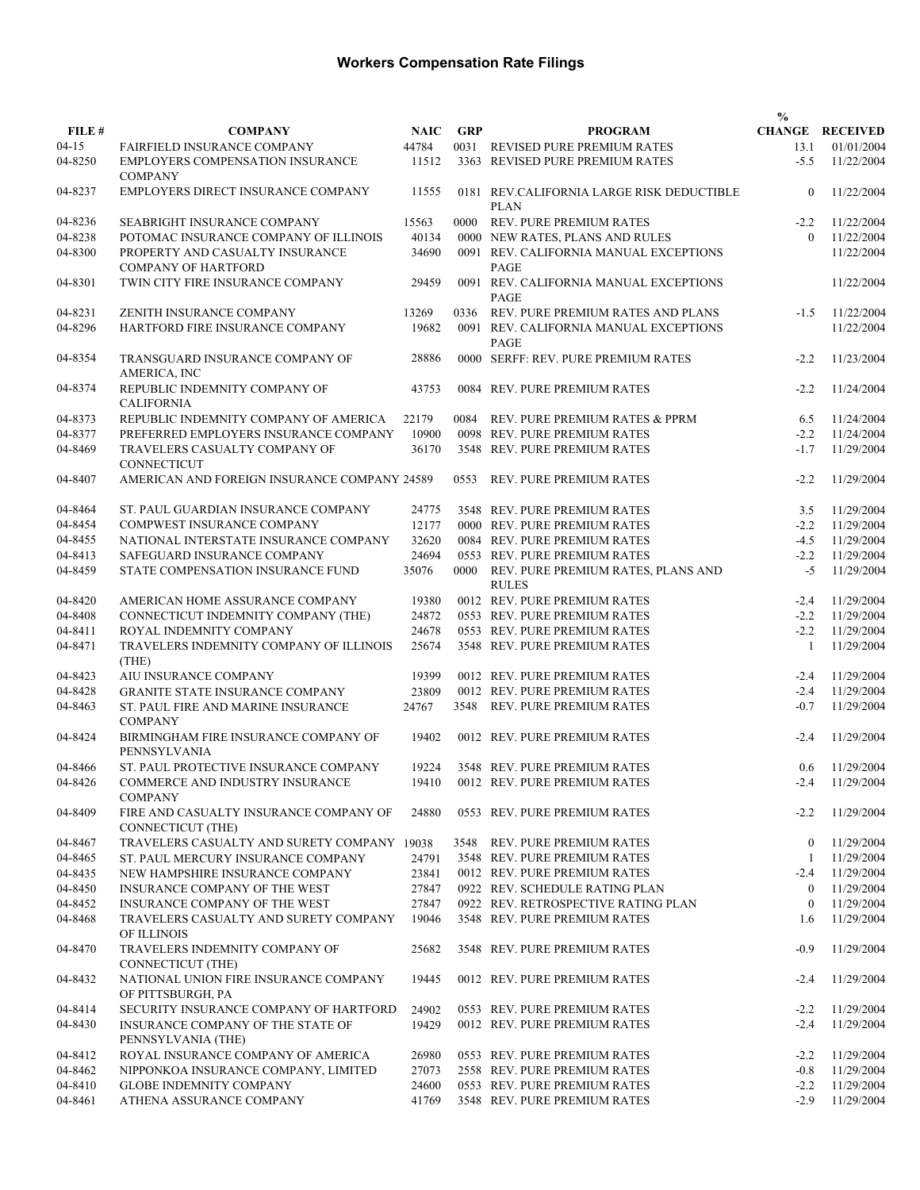|         |                                                               |             |            |                                                          | $\frac{0}{0}$  |                        |
|---------|---------------------------------------------------------------|-------------|------------|----------------------------------------------------------|----------------|------------------------|
| FILE #  | <b>COMPANY</b>                                                | <b>NAIC</b> | <b>GRP</b> | <b>PROGRAM</b>                                           |                | <b>CHANGE RECEIVED</b> |
| $04-15$ | <b>FAIRFIELD INSURANCE COMPANY</b>                            | 44784       | 0031       | REVISED PURE PREMIUM RATES                               | 13.1           | 01/01/2004             |
| 04-8250 | <b>EMPLOYERS COMPENSATION INSURANCE</b><br><b>COMPANY</b>     | 11512       |            | 3363 REVISED PURE PREMIUM RATES                          | $-5.5$         | 11/22/2004             |
| 04-8237 | EMPLOYERS DIRECT INSURANCE COMPANY                            | 11555       |            | 0181 REV.CALIFORNIA LARGE RISK DEDUCTIBLE<br><b>PLAN</b> | $\mathbf{0}$   | 11/22/2004             |
| 04-8236 | SEABRIGHT INSURANCE COMPANY                                   | 15563       | 0000       | <b>REV. PURE PREMIUM RATES</b>                           | $-2.2$         | 11/22/2004             |
| 04-8238 | POTOMAC INSURANCE COMPANY OF ILLINOIS                         | 40134       |            | 0000 NEW RATES, PLANS AND RULES                          | $\theta$       | 11/22/2004             |
| 04-8300 | PROPERTY AND CASUALTY INSURANCE<br><b>COMPANY OF HARTFORD</b> | 34690       |            | 0091 REV. CALIFORNIA MANUAL EXCEPTIONS<br>PAGE           |                | 11/22/2004             |
| 04-8301 | TWIN CITY FIRE INSURANCE COMPANY                              | 29459       |            | 0091 REV. CALIFORNIA MANUAL EXCEPTIONS<br>PAGE           |                | 11/22/2004             |
| 04-8231 | ZENITH INSURANCE COMPANY                                      | 13269       | 0336       | REV. PURE PREMIUM RATES AND PLANS                        | $-1.5$         | 11/22/2004             |
| 04-8296 | HARTFORD FIRE INSURANCE COMPANY                               | 19682       |            | 0091 REV. CALIFORNIA MANUAL EXCEPTIONS<br>PAGE           |                | 11/22/2004             |
| 04-8354 | TRANSGUARD INSURANCE COMPANY OF<br>AMERICA, INC               | 28886       |            | 0000 SERFF: REV. PURE PREMIUM RATES                      | $-2.2$         | 11/23/2004             |
| 04-8374 | REPUBLIC INDEMNITY COMPANY OF<br><b>CALIFORNIA</b>            | 43753       |            | 0084 REV. PURE PREMIUM RATES                             | $-2.2$         | 11/24/2004             |
| 04-8373 | REPUBLIC INDEMNITY COMPANY OF AMERICA                         | 22179       | 0084       | REV. PURE PREMIUM RATES & PPRM                           | 6.5            | 11/24/2004             |
| 04-8377 | PREFERRED EMPLOYERS INSURANCE COMPANY                         | 10900       |            | 0098 REV. PURE PREMIUM RATES                             | $-2.2$         | 11/24/2004             |
| 04-8469 | TRAVELERS CASUALTY COMPANY OF<br>CONNECTICUT                  | 36170       |            | 3548 REV. PURE PREMIUM RATES                             | $-1.7$         | 11/29/2004             |
| 04-8407 | AMERICAN AND FOREIGN INSURANCE COMPANY 24589                  |             | 0553       | REV. PURE PREMIUM RATES                                  | $-2.2$         | 11/29/2004             |
| 04-8464 | ST. PAUL GUARDIAN INSURANCE COMPANY                           | 24775       |            | 3548 REV. PURE PREMIUM RATES                             | 3.5            | 11/29/2004             |
| 04-8454 | COMPWEST INSURANCE COMPANY                                    | 12177       |            | 0000 REV. PURE PREMIUM RATES                             | $-2.2$         | 11/29/2004             |
| 04-8455 | NATIONAL INTERSTATE INSURANCE COMPANY                         | 32620       |            | 0084 REV. PURE PREMIUM RATES                             | $-4.5$         | 11/29/2004             |
| 04-8413 | SAFEGUARD INSURANCE COMPANY                                   | 24694       |            | 0553 REV. PURE PREMIUM RATES                             | $-2.2$         | 11/29/2004             |
| 04-8459 | STATE COMPENSATION INSURANCE FUND                             | 35076       |            | 0000 REV. PURE PREMIUM RATES, PLANS AND<br><b>RULES</b>  | $-5$           | 11/29/2004             |
| 04-8420 | AMERICAN HOME ASSURANCE COMPANY                               | 19380       |            | 0012 REV. PURE PREMIUM RATES                             | $-2.4$         | 11/29/2004             |
| 04-8408 | CONNECTICUT INDEMNITY COMPANY (THE)                           | 24872       |            | 0553 REV. PURE PREMIUM RATES                             | $-2.2$         | 11/29/2004             |
| 04-8411 | ROYAL INDEMNITY COMPANY                                       | 24678       |            | 0553 REV. PURE PREMIUM RATES                             | $-2.2$         | 11/29/2004             |
| 04-8471 | TRAVELERS INDEMNITY COMPANY OF ILLINOIS<br>(THE)              | 25674       |            | 3548 REV. PURE PREMIUM RATES                             | -1             | 11/29/2004             |
| 04-8423 | AIU INSURANCE COMPANY                                         | 19399       |            | 0012 REV. PURE PREMIUM RATES                             | $-2.4$         | 11/29/2004             |
| 04-8428 | <b>GRANITE STATE INSURANCE COMPANY</b>                        | 23809       |            | 0012 REV. PURE PREMIUM RATES                             | $-2.4$         | 11/29/2004             |
| 04-8463 | ST. PAUL FIRE AND MARINE INSURANCE<br><b>COMPANY</b>          | 24767       |            | 3548 REV. PURE PREMIUM RATES                             | $-0.7$         | 11/29/2004             |
| 04-8424 | BIRMINGHAM FIRE INSURANCE COMPANY OF<br>PENNSYLVANIA          | 19402       |            | 0012 REV. PURE PREMIUM RATES                             | $-2.4$         | 11/29/2004             |
| 04-8466 | ST. PAUL PROTECTIVE INSURANCE COMPANY                         | 19224       |            | 3548 REV. PURE PREMIUM RATES                             | 0.6            | 11/29/2004             |
| 04-8426 | COMMERCE AND INDUSTRY INSURANCE<br><b>COMPANY</b>             |             |            | 19410 0012 REV. PURE PREMIUM RATES                       |                | $-2.4$ 11/29/2004      |
| 04-8409 | FIRE AND CASUALTY INSURANCE COMPANY OF<br>CONNECTICUT (THE)   | 24880       |            | 0553 REV. PURE PREMIUM RATES                             | $-2.2$         | 11/29/2004             |
| 04-8467 | TRAVELERS CASUALTY AND SURETY COMPANY 19038                   |             |            | 3548 REV. PURE PREMIUM RATES                             | $\bf{0}$       | 11/29/2004             |
| 04-8465 | ST. PAUL MERCURY INSURANCE COMPANY                            | 24791       |            | 3548 REV. PURE PREMIUM RATES                             | -1             | 11/29/2004             |
| 04-8435 | NEW HAMPSHIRE INSURANCE COMPANY                               | 23841       |            | 0012 REV. PURE PREMIUM RATES                             | $-2.4$         | 11/29/2004             |
| 04-8450 | INSURANCE COMPANY OF THE WEST                                 | 27847       |            | 0922 REV. SCHEDULE RATING PLAN                           | $\overline{0}$ | 11/29/2004             |
| 04-8452 | INSURANCE COMPANY OF THE WEST                                 | 27847       |            | 0922 REV. RETROSPECTIVE RATING PLAN                      | $\mathbf{0}$   | 11/29/2004             |
| 04-8468 | TRAVELERS CASUALTY AND SURETY COMPANY<br>OF ILLINOIS          | 19046       |            | 3548 REV. PURE PREMIUM RATES                             | 1.6            | 11/29/2004             |
| 04-8470 | TRAVELERS INDEMNITY COMPANY OF<br>CONNECTICUT (THE)           | 25682       |            | 3548 REV. PURE PREMIUM RATES                             | $-0.9$         | 11/29/2004             |
| 04-8432 | NATIONAL UNION FIRE INSURANCE COMPANY<br>OF PITTSBURGH, PA    | 19445       |            | 0012 REV. PURE PREMIUM RATES                             | $-2.4$         | 11/29/2004             |
| 04-8414 | SECURITY INSURANCE COMPANY OF HARTFORD                        | 24902       |            | 0553 REV. PURE PREMIUM RATES                             | $-2.2$         | 11/29/2004             |
| 04-8430 | INSURANCE COMPANY OF THE STATE OF<br>PENNSYLVANIA (THE)       | 19429       |            | 0012 REV. PURE PREMIUM RATES                             | $-2.4$         | 11/29/2004             |
| 04-8412 | ROYAL INSURANCE COMPANY OF AMERICA                            | 26980       |            | 0553 REV. PURE PREMIUM RATES                             | $-2.2$         | 11/29/2004             |
| 04-8462 | NIPPONKOA INSURANCE COMPANY, LIMITED                          | 27073       |            | 2558 REV. PURE PREMIUM RATES                             | $-0.8$         | 11/29/2004             |
| 04-8410 | <b>GLOBE INDEMNITY COMPANY</b>                                | 24600       |            | 0553 REV. PURE PREMIUM RATES                             | $-2.2$         | 11/29/2004             |
| 04-8461 | ATHENA ASSURANCE COMPANY                                      | 41769       |            | 3548 REV. PURE PREMIUM RATES                             | $-2.9$         | 11/29/2004             |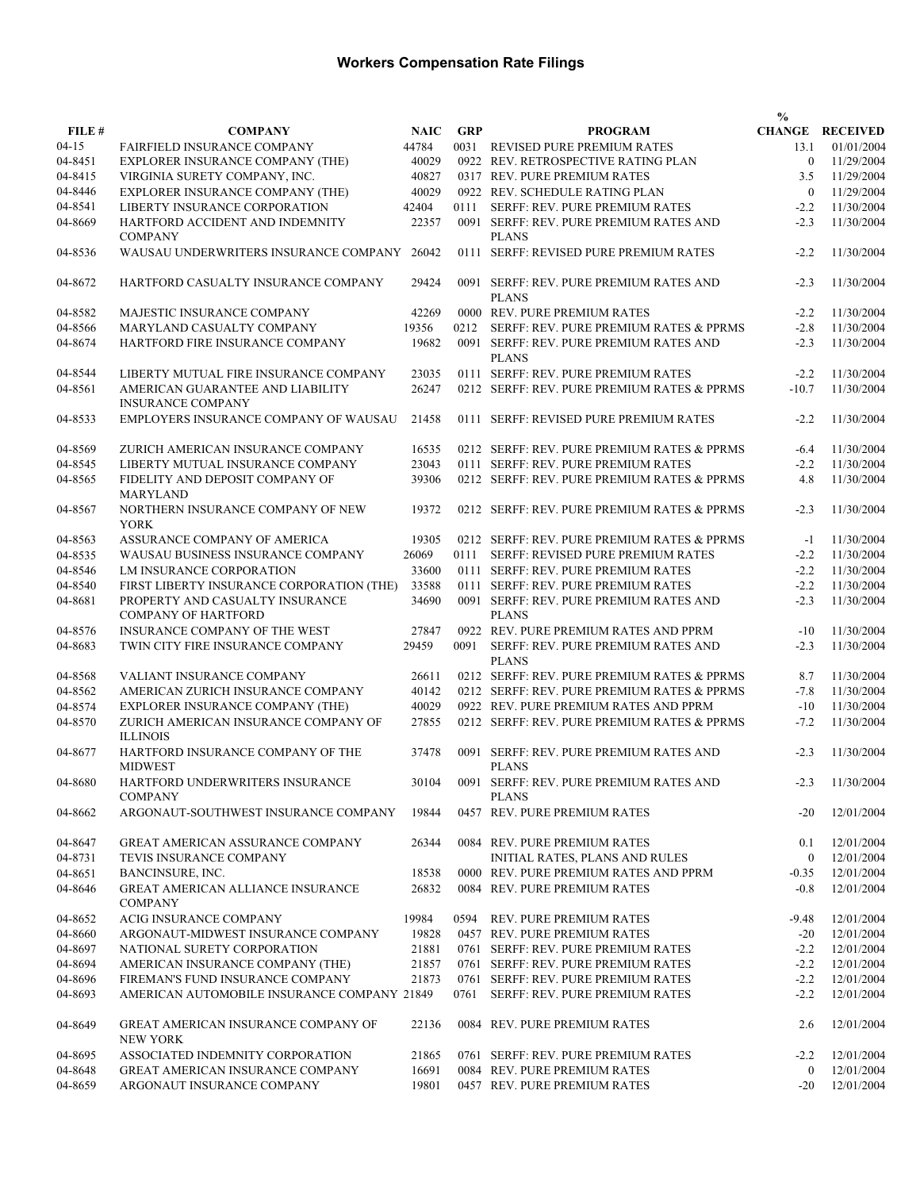|           |                                             |             |            |                                             | $\frac{0}{0}$  |                        |
|-----------|---------------------------------------------|-------------|------------|---------------------------------------------|----------------|------------------------|
| FILE #    | <b>COMPANY</b>                              | <b>NAIC</b> | <b>GRP</b> | <b>PROGRAM</b>                              |                | <b>CHANGE RECEIVED</b> |
| $04 - 15$ | FAIRFIELD INSURANCE COMPANY                 | 44784       |            | 0031 REVISED PURE PREMIUM RATES             | 13.1           | 01/01/2004             |
| 04-8451   | EXPLORER INSURANCE COMPANY (THE)            | 40029       |            | 0922 REV. RETROSPECTIVE RATING PLAN         | $\overline{0}$ | 11/29/2004             |
| 04-8415   | VIRGINIA SURETY COMPANY, INC.               | 40827       |            | 0317 REV. PURE PREMIUM RATES                | 3.5            | 11/29/2004             |
|           |                                             |             |            |                                             |                |                        |
| 04-8446   | EXPLORER INSURANCE COMPANY (THE)            | 40029       |            | 0922 REV. SCHEDULE RATING PLAN              | $\overline{0}$ | 11/29/2004             |
| 04-8541   | LIBERTY INSURANCE CORPORATION               | 42404       |            | 0111 SERFF: REV. PURE PREMIUM RATES         | $-2.2$         | 11/30/2004             |
| 04-8669   | HARTFORD ACCIDENT AND INDEMNITY             | 22357       |            | 0091 SERFF: REV. PURE PREMIUM RATES AND     | $-2.3$         | 11/30/2004             |
|           | <b>COMPANY</b>                              |             |            | <b>PLANS</b>                                |                |                        |
| 04-8536   | WAUSAU UNDERWRITERS INSURANCE COMPANY       | 26042       |            | 0111 SERFF: REVISED PURE PREMIUM RATES      | $-2.2$         | 11/30/2004             |
|           |                                             |             |            |                                             |                |                        |
| 04-8672   | HARTFORD CASUALTY INSURANCE COMPANY         | 29424       |            | 0091 SERFF: REV. PURE PREMIUM RATES AND     | $-2.3$         | 11/30/2004             |
|           |                                             |             |            | <b>PLANS</b>                                |                |                        |
| 04-8582   | MAJESTIC INSURANCE COMPANY                  | 42269       |            | 0000 REV. PURE PREMIUM RATES                | $-2.2$         | 11/30/2004             |
|           |                                             |             |            |                                             |                |                        |
| 04-8566   | MARYLAND CASUALTY COMPANY                   | 19356       | 0212       | SERFF: REV. PURE PREMIUM RATES & PPRMS      | $-2.8$         | 11/30/2004             |
| 04-8674   | HARTFORD FIRE INSURANCE COMPANY             | 19682       |            | 0091 SERFF: REV. PURE PREMIUM RATES AND     | $-2.3$         | 11/30/2004             |
|           |                                             |             |            | <b>PLANS</b>                                |                |                        |
| 04-8544   | LIBERTY MUTUAL FIRE INSURANCE COMPANY       | 23035       |            | 0111 SERFF: REV. PURE PREMIUM RATES         | $-2.2$         | 11/30/2004             |
| 04-8561   | AMERICAN GUARANTEE AND LIABILITY            | 26247       |            | 0212 SERFF: REV. PURE PREMIUM RATES & PPRMS | $-10.7$        | 11/30/2004             |
|           | <b>INSURANCE COMPANY</b>                    |             |            |                                             |                |                        |
| 04-8533   | EMPLOYERS INSURANCE COMPANY OF WAUSAU       | 21458       |            | 0111 SERFF: REVISED PURE PREMIUM RATES      | $-2.2$         | 11/30/2004             |
|           |                                             |             |            |                                             |                |                        |
| 04-8569   | ZURICH AMERICAN INSURANCE COMPANY           | 16535       |            | 0212 SERFF: REV. PURE PREMIUM RATES & PPRMS | $-6.4$         | 11/30/2004             |
| 04-8545   | LIBERTY MUTUAL INSURANCE COMPANY            | 23043       |            |                                             | $-2.2$         |                        |
|           |                                             |             |            | 0111 SERFF: REV. PURE PREMIUM RATES         |                | 11/30/2004             |
| 04-8565   | FIDELITY AND DEPOSIT COMPANY OF             | 39306       |            | 0212 SERFF: REV. PURE PREMIUM RATES & PPRMS | 4.8            | 11/30/2004             |
|           | <b>MARYLAND</b>                             |             |            |                                             |                |                        |
| 04-8567   | NORTHERN INSURANCE COMPANY OF NEW           | 19372       |            | 0212 SERFF: REV. PURE PREMIUM RATES & PPRMS | $-2.3$         | 11/30/2004             |
|           | <b>YORK</b>                                 |             |            |                                             |                |                        |
| 04-8563   | ASSURANCE COMPANY OF AMERICA                | 19305       |            | 0212 SERFF: REV. PURE PREMIUM RATES & PPRMS | $-1$           | 11/30/2004             |
| 04-8535   | WAUSAU BUSINESS INSURANCE COMPANY           | 26069       |            | 0111 SERFF: REVISED PURE PREMIUM RATES      | $-2.2$         | 11/30/2004             |
| 04-8546   | LM INSURANCE CORPORATION                    | 33600       |            | 0111 SERFF: REV. PURE PREMIUM RATES         | $-2.2$         | 11/30/2004             |
| 04-8540   | FIRST LIBERTY INSURANCE CORPORATION (THE)   | 33588       |            | 0111 SERFF: REV. PURE PREMIUM RATES         | $-2.2$         | 11/30/2004             |
| 04-8681   | PROPERTY AND CASUALTY INSURANCE             | 34690       |            | 0091 SERFF: REV. PURE PREMIUM RATES AND     | $-2.3$         | 11/30/2004             |
|           |                                             |             |            |                                             |                |                        |
|           | <b>COMPANY OF HARTFORD</b>                  |             |            | <b>PLANS</b>                                |                |                        |
| 04-8576   | INSURANCE COMPANY OF THE WEST               | 27847       |            | 0922 REV. PURE PREMIUM RATES AND PPRM       | $-10$          | 11/30/2004             |
| 04-8683   | TWIN CITY FIRE INSURANCE COMPANY            | 29459       | 0091       | SERFF: REV. PURE PREMIUM RATES AND          | $-2.3$         | 11/30/2004             |
|           |                                             |             |            | <b>PLANS</b>                                |                |                        |
| 04-8568   | VALIANT INSURANCE COMPANY                   | 26611       |            | 0212 SERFF: REV. PURE PREMIUM RATES & PPRMS | 8.7            | 11/30/2004             |
| 04-8562   | AMERICAN ZURICH INSURANCE COMPANY           | 40142       |            | 0212 SERFF: REV. PURE PREMIUM RATES & PPRMS | $-7.8$         | 11/30/2004             |
| 04-8574   | EXPLORER INSURANCE COMPANY (THE)            | 40029       |            | 0922 REV. PURE PREMIUM RATES AND PPRM       | $-10$          | 11/30/2004             |
| 04-8570   | ZURICH AMERICAN INSURANCE COMPANY OF        | 27855       |            | 0212 SERFF: REV. PURE PREMIUM RATES & PPRMS | $-7.2$         | 11/30/2004             |
|           | <b>ILLINOIS</b>                             |             |            |                                             |                |                        |
|           |                                             |             |            |                                             |                |                        |
| 04-8677   | HARTFORD INSURANCE COMPANY OF THE           | 37478       |            | 0091 SERFF: REV. PURE PREMIUM RATES AND     | $-2.3$         | 11/30/2004             |
|           | <b>MIDWEST</b>                              |             |            | <b>PLANS</b>                                |                |                        |
| 04-8680   | HARTFORD UNDERWRITERS INSURANCE             | 30104       |            | 0091 SERFF: REV. PURE PREMIUM RATES AND     |                | $-2.3$ 11/30/2004      |
|           | <b>COMPANY</b>                              |             |            | <b>PLANS</b>                                |                |                        |
| 04-8662   | ARGONAUT-SOUTHWEST INSURANCE COMPANY        | 19844       |            | 0457 REV. PURE PREMIUM RATES                | $-20$          | 12/01/2004             |
|           |                                             |             |            |                                             |                |                        |
| 04-8647   | <b>GREAT AMERICAN ASSURANCE COMPANY</b>     | 26344       |            | 0084 REV. PURE PREMIUM RATES                | 0.1            | 12/01/2004             |
| 04-8731   | TEVIS INSURANCE COMPANY                     |             |            | INITIAL RATES, PLANS AND RULES              | $\mathbf{0}$   | 12/01/2004             |
| 04-8651   |                                             | 18538       |            | 0000 REV. PURE PREMIUM RATES AND PPRM       |                |                        |
|           | BANCINSURE, INC.                            |             |            |                                             | $-0.35$        | 12/01/2004             |
| 04-8646   | <b>GREAT AMERICAN ALLIANCE INSURANCE</b>    | 26832       |            | 0084 REV. PURE PREMIUM RATES                | $-0.8$         | 12/01/2004             |
|           | <b>COMPANY</b>                              |             |            |                                             |                |                        |
| 04-8652   | ACIG INSURANCE COMPANY                      | 19984       |            | 0594 REV. PURE PREMIUM RATES                | $-9.48$        | 12/01/2004             |
| 04-8660   | ARGONAUT-MIDWEST INSURANCE COMPANY          | 19828       |            | 0457 REV. PURE PREMIUM RATES                | $-20$          | 12/01/2004             |
| 04-8697   | NATIONAL SURETY CORPORATION                 | 21881       |            | 0761 SERFF: REV. PURE PREMIUM RATES         | $-2.2$         | 12/01/2004             |
| 04-8694   | AMERICAN INSURANCE COMPANY (THE)            | 21857       |            | 0761 SERFF: REV. PURE PREMIUM RATES         | $-2.2$         | 12/01/2004             |
| 04-8696   | FIREMAN'S FUND INSURANCE COMPANY            | 21873       |            | 0761 SERFF: REV. PURE PREMIUM RATES         | $-2.2$         | 12/01/2004             |
| 04-8693   | AMERICAN AUTOMOBILE INSURANCE COMPANY 21849 |             |            | 0761 SERFF: REV. PURE PREMIUM RATES         | $-2.2$         | 12/01/2004             |
|           |                                             |             |            |                                             |                |                        |
|           |                                             |             |            |                                             |                |                        |
| 04-8649   | GREAT AMERICAN INSURANCE COMPANY OF         | 22136       |            | 0084 REV. PURE PREMIUM RATES                | 2.6            | 12/01/2004             |
|           | <b>NEW YORK</b>                             |             |            |                                             |                |                        |
| 04-8695   | ASSOCIATED INDEMNITY CORPORATION            | 21865       |            | 0761 SERFF: REV. PURE PREMIUM RATES         | $-2.2$         | 12/01/2004             |
| 04-8648   | <b>GREAT AMERICAN INSURANCE COMPANY</b>     | 16691       |            | 0084 REV. PURE PREMIUM RATES                | $\overline{0}$ | 12/01/2004             |
| 04-8659   | ARGONAUT INSURANCE COMPANY                  | 19801       |            | 0457 REV. PURE PREMIUM RATES                | $-20$          | 12/01/2004             |
|           |                                             |             |            |                                             |                |                        |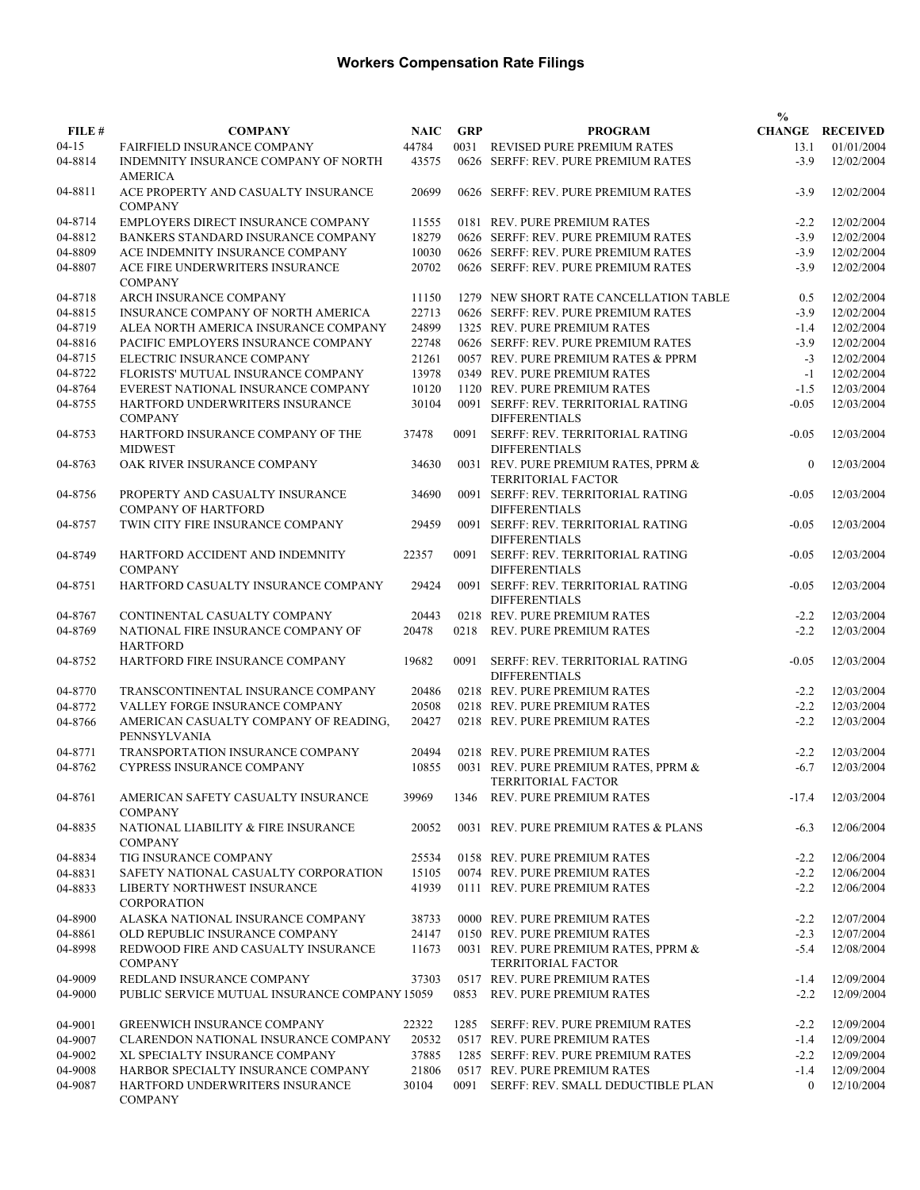|           |                                                               |             |            |                                                                   | $\frac{0}{0}$ |                        |
|-----------|---------------------------------------------------------------|-------------|------------|-------------------------------------------------------------------|---------------|------------------------|
| FILE #    | <b>COMPANY</b>                                                | <b>NAIC</b> | <b>GRP</b> | <b>PROGRAM</b>                                                    |               | <b>CHANGE RECEIVED</b> |
| $04 - 15$ | FAIRFIELD INSURANCE COMPANY                                   | 44784       |            | 0031 REVISED PURE PREMIUM RATES                                   | 13.1          | 01/01/2004             |
| 04-8814   | INDEMNITY INSURANCE COMPANY OF NORTH<br><b>AMERICA</b>        | 43575       |            | 0626 SERFF: REV. PURE PREMIUM RATES                               | $-3.9$        | 12/02/2004             |
| 04-8811   | ACE PROPERTY AND CASUALTY INSURANCE<br><b>COMPANY</b>         | 20699       |            | 0626 SERFF: REV. PURE PREMIUM RATES                               | $-3.9$        | 12/02/2004             |
| 04-8714   | EMPLOYERS DIRECT INSURANCE COMPANY                            | 11555       |            | 0181 REV. PURE PREMIUM RATES                                      | $-2.2$        | 12/02/2004             |
| 04-8812   | BANKERS STANDARD INSURANCE COMPANY                            | 18279       |            | 0626 SERFF: REV. PURE PREMIUM RATES                               | $-3.9$        | 12/02/2004             |
| 04-8809   | ACE INDEMNITY INSURANCE COMPANY                               | 10030       |            | 0626 SERFF: REV. PURE PREMIUM RATES                               | $-3.9$        | 12/02/2004             |
| 04-8807   | ACE FIRE UNDERWRITERS INSURANCE<br><b>COMPANY</b>             | 20702       |            | 0626 SERFF: REV. PURE PREMIUM RATES                               | $-3.9$        | 12/02/2004             |
| 04-8718   | ARCH INSURANCE COMPANY                                        | 11150       |            | 1279 NEW SHORT RATE CANCELLATION TABLE                            | 0.5           | 12/02/2004             |
| 04-8815   | INSURANCE COMPANY OF NORTH AMERICA                            | 22713       |            | 0626 SERFF: REV. PURE PREMIUM RATES                               | $-3.9$        | 12/02/2004             |
| 04-8719   | ALEA NORTH AMERICA INSURANCE COMPANY                          | 24899       |            | 1325 REV. PURE PREMIUM RATES                                      | $-1.4$        | 12/02/2004             |
| 04-8816   | PACIFIC EMPLOYERS INSURANCE COMPANY                           | 22748       |            | 0626 SERFF: REV. PURE PREMIUM RATES                               | $-3.9$        | 12/02/2004             |
| 04-8715   | ELECTRIC INSURANCE COMPANY                                    | 21261       |            | 0057 REV. PURE PREMIUM RATES & PPRM                               | $-3$          | 12/02/2004             |
| 04-8722   | FLORISTS' MUTUAL INSURANCE COMPANY                            | 13978       |            | 0349 REV. PURE PREMIUM RATES                                      | $-1$          | 12/02/2004             |
| 04-8764   | EVEREST NATIONAL INSURANCE COMPANY                            | 10120       |            | 1120 REV. PURE PREMIUM RATES                                      | $-1.5$        | 12/03/2004             |
| 04-8755   | HARTFORD UNDERWRITERS INSURANCE<br><b>COMPANY</b>             | 30104       |            | 0091 SERFF: REV. TERRITORIAL RATING<br><b>DIFFERENTIALS</b>       | $-0.05$       | 12/03/2004             |
| 04-8753   | HARTFORD INSURANCE COMPANY OF THE<br><b>MIDWEST</b>           | 37478       | 0091       | SERFF: REV. TERRITORIAL RATING<br><b>DIFFERENTIALS</b>            | $-0.05$       | 12/03/2004             |
| 04-8763   | OAK RIVER INSURANCE COMPANY                                   | 34630       |            | 0031 REV. PURE PREMIUM RATES, PPRM &<br><b>TERRITORIAL FACTOR</b> | $\Omega$      | 12/03/2004             |
| 04-8756   | PROPERTY AND CASUALTY INSURANCE<br><b>COMPANY OF HARTFORD</b> | 34690       |            | 0091 SERFF: REV. TERRITORIAL RATING<br><b>DIFFERENTIALS</b>       | $-0.05$       | 12/03/2004             |
| 04-8757   | TWIN CITY FIRE INSURANCE COMPANY                              | 29459       |            | 0091 SERFF: REV. TERRITORIAL RATING<br><b>DIFFERENTIALS</b>       | $-0.05$       | 12/03/2004             |
| 04-8749   | HARTFORD ACCIDENT AND INDEMNITY<br><b>COMPANY</b>             | 22357       | 0091       | SERFF: REV. TERRITORIAL RATING<br><b>DIFFERENTIALS</b>            | $-0.05$       | 12/03/2004             |
| 04-8751   | HARTFORD CASUALTY INSURANCE COMPANY                           | 29424       |            | 0091 SERFF: REV. TERRITORIAL RATING<br><b>DIFFERENTIALS</b>       | $-0.05$       | 12/03/2004             |
| 04-8767   | CONTINENTAL CASUALTY COMPANY                                  | 20443       |            | 0218 REV. PURE PREMIUM RATES                                      | $-2.2$        | 12/03/2004             |
| 04-8769   | NATIONAL FIRE INSURANCE COMPANY OF<br><b>HARTFORD</b>         | 20478       | 0218       | <b>REV. PURE PREMIUM RATES</b>                                    | $-2.2$        | 12/03/2004             |
| 04-8752   | HARTFORD FIRE INSURANCE COMPANY                               | 19682       | 0091       | SERFF: REV. TERRITORIAL RATING<br><b>DIFFERENTIALS</b>            | $-0.05$       | 12/03/2004             |
| 04-8770   | TRANSCONTINENTAL INSURANCE COMPANY                            | 20486       |            | 0218 REV. PURE PREMIUM RATES                                      | $-2.2$        | 12/03/2004             |
| 04-8772   | VALLEY FORGE INSURANCE COMPANY                                | 20508       |            | 0218 REV. PURE PREMIUM RATES                                      | $-2.2$        | 12/03/2004             |
| 04-8766   | AMERICAN CASUALTY COMPANY OF READING,                         | 20427       |            | 0218 REV. PURE PREMIUM RATES                                      | $-2.2$        | 12/03/2004             |
|           | PENNSYLVANIA                                                  |             |            |                                                                   |               |                        |
| 04-8771   | TRANSPORTATION INSURANCE COMPANY                              | 20494       |            | 0218 REV. PURE PREMIUM RATES                                      | $-2.2$        | 12/03/2004             |
| 04-8762   | <b>CYPRESS INSURANCE COMPANY</b>                              | 10855       |            | 0031 REV. PURE PREMIUM RATES, PPRM &                              | $-6.7$        | 12/03/2004             |
|           |                                                               |             |            | TERRITORIAL FACTOR                                                |               |                        |
| 04-8761   | AMERICAN SAFETY CASUALTY INSURANCE<br><b>COMPANY</b>          | 39969       |            | 1346 REV. PURE PREMIUM RATES                                      | $-17.4$       | 12/03/2004             |
| 04-8835   | NATIONAL LIABILITY & FIRE INSURANCE<br><b>COMPANY</b>         | 20052       |            | 0031 REV. PURE PREMIUM RATES & PLANS                              | $-6.3$        | 12/06/2004             |
| 04-8834   | TIG INSURANCE COMPANY                                         | 25534       |            | 0158 REV. PURE PREMIUM RATES                                      | $-2.2$        | 12/06/2004             |
| 04-8831   | SAFETY NATIONAL CASUALTY CORPORATION                          | 15105       |            | 0074 REV. PURE PREMIUM RATES                                      | $-2.2$        | 12/06/2004             |
| 04-8833   | LIBERTY NORTHWEST INSURANCE<br><b>CORPORATION</b>             | 41939       |            | 0111 REV. PURE PREMIUM RATES                                      | $-2.2$        | 12/06/2004             |
| 04-8900   | ALASKA NATIONAL INSURANCE COMPANY                             | 38733       |            | 0000 REV. PURE PREMIUM RATES                                      | $-2.2$        | 12/07/2004             |
| 04-8861   | OLD REPUBLIC INSURANCE COMPANY                                | 24147       |            | 0150 REV. PURE PREMIUM RATES                                      | $-2.3$        | 12/07/2004             |
| 04-8998   | REDWOOD FIRE AND CASUALTY INSURANCE<br><b>COMPANY</b>         | 11673       |            | 0031 REV. PURE PREMIUM RATES, PPRM &<br>TERRITORIAL FACTOR        | $-5.4$        | 12/08/2004             |
| 04-9009   | REDLAND INSURANCE COMPANY                                     | 37303       |            | 0517 REV. PURE PREMIUM RATES                                      | $-1.4$        | 12/09/2004             |
| 04-9000   | PUBLIC SERVICE MUTUAL INSURANCE COMPANY 15059                 |             |            | 0853 REV. PURE PREMIUM RATES                                      | $-2.2$        | 12/09/2004             |
| 04-9001   | GREENWICH INSURANCE COMPANY                                   | 22322       |            | 1285 SERFF: REV. PURE PREMIUM RATES                               | $-2.2$        | 12/09/2004             |
| 04-9007   | CLARENDON NATIONAL INSURANCE COMPANY                          | 20532       |            | 0517 REV. PURE PREMIUM RATES                                      | $-1.4$        | 12/09/2004             |
| 04-9002   | XL SPECIALTY INSURANCE COMPANY                                | 37885       |            | 1285 SERFF: REV. PURE PREMIUM RATES                               | $-2.2$        | 12/09/2004             |
| 04-9008   | HARBOR SPECIALTY INSURANCE COMPANY                            | 21806       |            | 0517 REV. PURE PREMIUM RATES                                      | $-1.4$        | 12/09/2004             |
| 04-9087   | HARTFORD UNDERWRITERS INSURANCE<br><b>COMPANY</b>             | 30104       |            | 0091 SERFF: REV. SMALL DEDUCTIBLE PLAN                            | $\mathbf{0}$  | 12/10/2004             |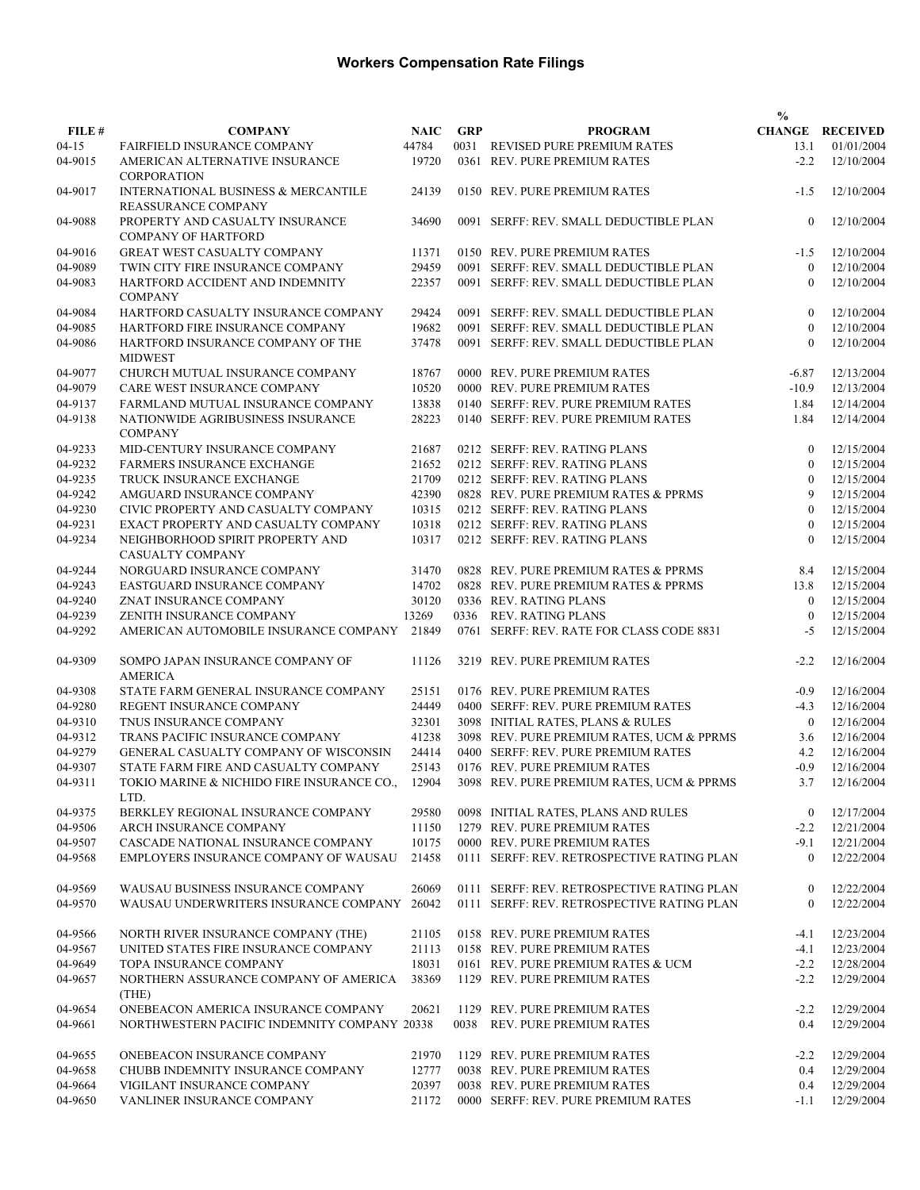|           |                                                                   |       |            |                                            | $\frac{0}{0}$  |                        |
|-----------|-------------------------------------------------------------------|-------|------------|--------------------------------------------|----------------|------------------------|
| FILE #    | <b>COMPANY</b>                                                    | NAIC  | <b>GRP</b> | <b>PROGRAM</b>                             |                | <b>CHANGE RECEIVED</b> |
| $04 - 15$ | <b>FAIRFIELD INSURANCE COMPANY</b>                                | 44784 |            | 0031 REVISED PURE PREMIUM RATES            | 13.1           | 01/01/2004             |
| 04-9015   | AMERICAN ALTERNATIVE INSURANCE<br><b>CORPORATION</b>              | 19720 |            | 0361 REV. PURE PREMIUM RATES               | $-2.2$         | 12/10/2004             |
| 04-9017   | INTERNATIONAL BUSINESS & MERCANTILE<br><b>REASSURANCE COMPANY</b> | 24139 |            | 0150 REV. PURE PREMIUM RATES               | $-1.5$         | 12/10/2004             |
| 04-9088   | PROPERTY AND CASUALTY INSURANCE<br><b>COMPANY OF HARTFORD</b>     | 34690 |            | 0091 SERFF: REV. SMALL DEDUCTIBLE PLAN     | $\mathbf{0}$   | 12/10/2004             |
| 04-9016   | <b>GREAT WEST CASUALTY COMPANY</b>                                | 11371 |            | 0150 REV. PURE PREMIUM RATES               | $-1.5$         | 12/10/2004             |
| 04-9089   | TWIN CITY FIRE INSURANCE COMPANY                                  | 29459 |            | 0091 SERFF: REV. SMALL DEDUCTIBLE PLAN     | $\theta$       | 12/10/2004             |
| 04-9083   | HARTFORD ACCIDENT AND INDEMNITY<br><b>COMPANY</b>                 | 22357 |            | 0091 SERFF: REV. SMALL DEDUCTIBLE PLAN     | $\theta$       | 12/10/2004             |
| 04-9084   | HARTFORD CASUALTY INSURANCE COMPANY                               | 29424 |            | 0091 SERFF: REV. SMALL DEDUCTIBLE PLAN     | $\theta$       | 12/10/2004             |
| 04-9085   | HARTFORD FIRE INSURANCE COMPANY                                   | 19682 |            | 0091 SERFF: REV. SMALL DEDUCTIBLE PLAN     | $\mathbf{0}$   | 12/10/2004             |
| 04-9086   | HARTFORD INSURANCE COMPANY OF THE<br><b>MIDWEST</b>               | 37478 |            | 0091 SERFF: REV. SMALL DEDUCTIBLE PLAN     | $\mathbf{0}$   | 12/10/2004             |
| 04-9077   | CHURCH MUTUAL INSURANCE COMPANY                                   | 18767 |            | 0000 REV. PURE PREMIUM RATES               | $-6.87$        | 12/13/2004             |
| 04-9079   | CARE WEST INSURANCE COMPANY                                       | 10520 |            | 0000 REV. PURE PREMIUM RATES               | $-10.9$        | 12/13/2004             |
| 04-9137   | FARMLAND MUTUAL INSURANCE COMPANY                                 | 13838 |            | 0140 SERFF: REV. PURE PREMIUM RATES        | 1.84           | 12/14/2004             |
| 04-9138   | NATIONWIDE AGRIBUSINESS INSURANCE<br><b>COMPANY</b>               | 28223 |            | 0140 SERFF: REV. PURE PREMIUM RATES        | 1.84           | 12/14/2004             |
| 04-9233   | MID-CENTURY INSURANCE COMPANY                                     | 21687 |            | 0212 SERFF: REV. RATING PLANS              | $\mathbf{0}$   | 12/15/2004             |
| 04-9232   | FARMERS INSURANCE EXCHANGE                                        | 21652 |            | 0212 SERFF: REV. RATING PLANS              | $\mathbf{0}$   | 12/15/2004             |
| 04-9235   | TRUCK INSURANCE EXCHANGE                                          | 21709 |            | 0212 SERFF: REV. RATING PLANS              | $\overline{0}$ | 12/15/2004             |
| 04-9242   | AMGUARD INSURANCE COMPANY                                         | 42390 |            | 0828 REV. PURE PREMIUM RATES & PPRMS       | 9              | 12/15/2004             |
| 04-9230   | CIVIC PROPERTY AND CASUALTY COMPANY                               | 10315 |            | 0212 SERFF: REV. RATING PLANS              | $\mathbf{0}$   | 12/15/2004             |
| 04-9231   | EXACT PROPERTY AND CASUALTY COMPANY                               | 10318 |            | 0212 SERFF: REV. RATING PLANS              | $\theta$       | 12/15/2004             |
| 04-9234   | NEIGHBORHOOD SPIRIT PROPERTY AND<br>CASUALTY COMPANY              | 10317 |            | 0212 SERFF: REV. RATING PLANS              | $\theta$       | 12/15/2004             |
| 04-9244   | NORGUARD INSURANCE COMPANY                                        | 31470 |            | 0828 REV. PURE PREMIUM RATES & PPRMS       | 8.4            | 12/15/2004             |
| 04-9243   | EASTGUARD INSURANCE COMPANY                                       | 14702 |            | 0828 REV. PURE PREMIUM RATES & PPRMS       | 13.8           | 12/15/2004             |
| 04-9240   | ZNAT INSURANCE COMPANY                                            | 30120 |            | 0336 REV. RATING PLANS                     | $\mathbf{0}$   | 12/15/2004             |
| 04-9239   | ZENITH INSURANCE COMPANY                                          | 13269 |            | 0336 REV. RATING PLANS                     | $\mathbf{0}$   | 12/15/2004             |
| 04-9292   | AMERICAN AUTOMOBILE INSURANCE COMPANY                             | 21849 |            | 0761 SERFF: REV. RATE FOR CLASS CODE 8831  | $-5$           | 12/15/2004             |
| 04-9309   | SOMPO JAPAN INSURANCE COMPANY OF<br><b>AMERICA</b>                | 11126 |            | 3219 REV. PURE PREMIUM RATES               | $-2.2$         | 12/16/2004             |
| 04-9308   | STATE FARM GENERAL INSURANCE COMPANY                              | 25151 |            | 0176 REV. PURE PREMIUM RATES               | $-0.9$         | 12/16/2004             |
| 04-9280   | REGENT INSURANCE COMPANY                                          | 24449 |            | 0400 SERFF: REV. PURE PREMIUM RATES        | $-4.3$         | 12/16/2004             |
| 04-9310   | TNUS INSURANCE COMPANY                                            | 32301 |            | 3098 INITIAL RATES, PLANS & RULES          | $\mathbf{0}$   | 12/16/2004             |
| 04-9312   | TRANS PACIFIC INSURANCE COMPANY                                   | 41238 |            | 3098 REV. PURE PREMIUM RATES, UCM & PPRMS  | 3.6            | 12/16/2004             |
| 04-9279   | GENERAL CASUALTY COMPANY OF WISCONSIN                             | 24414 |            | 0400 SERFF: REV. PURE PREMIUM RATES        | 4.2            | 12/16/2004             |
| 04-9307   | STATE FARM FIRE AND CASUALTY COMPANY                              | 25143 |            | 0176 REV. PURE PREMIUM RATES               | $-0.9$         | 12/16/2004             |
| 04-9311   | TOKIO MARINE & NICHIDO FIRE INSURANCE CO<br>LTD.                  | 12904 |            | 3098 REV. PURE PREMIUM RATES, UCM & PPRMS  | 3.7            | 12/16/2004             |
| 04-9375   | BERKLEY REGIONAL INSURANCE COMPANY                                | 29580 |            | 0098 INITIAL RATES, PLANS AND RULES        | $\overline{0}$ | 12/17/2004             |
| 04-9506   | ARCH INSURANCE COMPANY                                            | 11150 |            | 1279 REV. PURE PREMIUM RATES               | $-2.2$         | 12/21/2004             |
| 04-9507   | CASCADE NATIONAL INSURANCE COMPANY                                | 10175 |            | 0000 REV. PURE PREMIUM RATES               | $-9.1$         | 12/21/2004             |
| 04-9568   | EMPLOYERS INSURANCE COMPANY OF WAUSAU                             | 21458 |            | 0111 SERFF: REV. RETROSPECTIVE RATING PLAN | $\overline{0}$ | 12/22/2004             |
| 04-9569   | WAUSAU BUSINESS INSURANCE COMPANY                                 | 26069 |            | 0111 SERFF: REV. RETROSPECTIVE RATING PLAN | $\bf{0}$       | 12/22/2004             |
| 04-9570   | WAUSAU UNDERWRITERS INSURANCE COMPANY                             | 26042 |            | 0111 SERFF: REV. RETROSPECTIVE RATING PLAN | $\mathbf{0}$   | 12/22/2004             |
| 04-9566   | NORTH RIVER INSURANCE COMPANY (THE)                               | 21105 |            | 0158 REV. PURE PREMIUM RATES               | $-4.1$         | 12/23/2004             |
| 04-9567   | UNITED STATES FIRE INSURANCE COMPANY                              | 21113 |            | 0158 REV. PURE PREMIUM RATES               | $-4.1$         | 12/23/2004             |
| 04-9649   | TOPA INSURANCE COMPANY                                            | 18031 |            | 0161 REV. PURE PREMIUM RATES & UCM         | $-2.2$         | 12/28/2004             |
| 04-9657   | NORTHERN ASSURANCE COMPANY OF AMERICA<br>(THE)                    | 38369 |            | 1129 REV. PURE PREMIUM RATES               | $-2.2$         | 12/29/2004             |
| 04-9654   | ONEBEACON AMERICA INSURANCE COMPANY                               | 20621 |            | 1129 REV. PURE PREMIUM RATES               | $-2.2$         | 12/29/2004             |
| 04-9661   | NORTHWESTERN PACIFIC INDEMNITY COMPANY 20338                      |       | 0038       | <b>REV. PURE PREMIUM RATES</b>             | 0.4            | 12/29/2004             |
| 04-9655   | ONEBEACON INSURANCE COMPANY                                       | 21970 |            | 1129 REV. PURE PREMIUM RATES               | $-2.2$         | 12/29/2004             |
| 04-9658   | CHUBB INDEMNITY INSURANCE COMPANY                                 | 12777 |            | 0038 REV. PURE PREMIUM RATES               | 0.4            | 12/29/2004             |
| 04-9664   | VIGILANT INSURANCE COMPANY                                        | 20397 |            | 0038 REV. PURE PREMIUM RATES               | 0.4            | 12/29/2004             |
| 04-9650   | VANLINER INSURANCE COMPANY                                        | 21172 |            | 0000 SERFF: REV. PURE PREMIUM RATES        | $-1.1$         | 12/29/2004             |